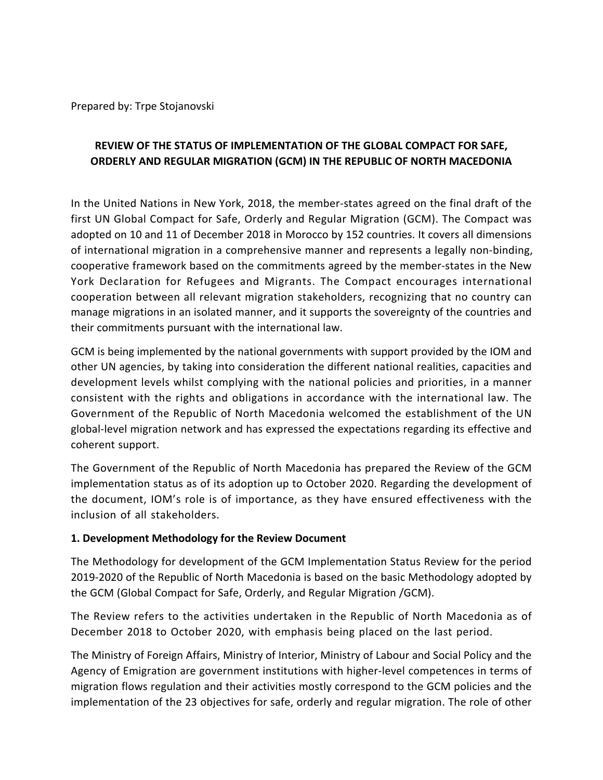Prepared by: Trpe Stojanovski

# **REVIEW OF THE STATUS OF IMPLEMENTATION OF THE GLOBAL COMPACT FOR SAFE, ORDERLY AND REGULAR MIGRATION (GCM) IN THE REPUBLIC OF NORTH MACEDONIA**

In the United Nations in New York, 2018, the member-states agreed on the final draft of the first UN Global Compact for Safe, Orderly and Regular Migration (GCM). The Compact was adopted on 10 and 11 of December 2018 in Morocco by 152 countries. It covers all dimensions of international migration in a comprehensive manner and represents a legally non-binding, cooperative framework based on the commitments agreed by the member-states in the New York Declaration for Refugees and Migrants. The Compact encourages international cooperation between all relevant migration stakeholders, recognizing that no country can manage migrations in an isolated manner, and it supports the sovereignty of the countries and their commitments pursuant with the international law.

GCM is being implemented by the national governments with support provided by the IOM and other UN agencies, by taking into consideration the different national realities, capacities and development levels whilst complying with the national policies and priorities, in a manner consistent with the rights and obligations in accordance with the international law. The Government of the Republic of North Macedonia welcomed the establishment of the UN global-level migration network and has expressed the expectations regarding its effective and coherent support.

The Government of the Republic of North Macedonia has prepared the Review of the GCM implementation status as of its adoption up to October 2020. Regarding the development of the document, IOM's role is of importance, as they have ensured effectiveness with the inclusion of all stakeholders.

#### **1. Development Methodology for the Review Document**

The Methodology for development of the GCM Implementation Status Review for the period 2019-2020 of the Republic of North Macedonia is based on the basic Methodology adopted by the GCM (Global Compact for Safe, Orderly, and Regular Migration /GCM).

The Review refers to the activities undertaken in the Republic of North Macedonia as of December 2018 to October 2020, with emphasis being placed on the last period.

The Ministry of Foreign Affairs, Ministry of Interior, Ministry of Labour and Social Policy and the Agency of Emigration are government institutions with higher-level competences in terms of migration flows regulation and their activities mostly correspond to the GCM policies and the implementation of the 23 objectives for safe, orderly and regular migration. The role of other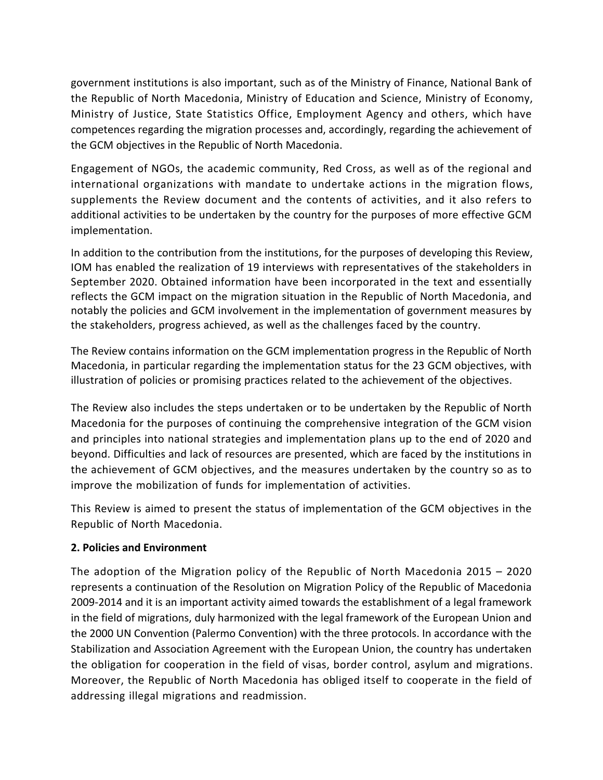government institutions is also important, such as of the Ministry of Finance, National Bank of the Republic of North Macedonia, Ministry of Education and Science, Ministry of Economy, Ministry of Justice, State Statistics Office, Employment Agency and others, which have competences regarding the migration processes and, accordingly, regarding the achievement of the GCM objectives in the Republic of North Macedonia.

Engagement of NGOs, the academic community, Red Cross, as well as of the regional and international organizations with mandate to undertake actions in the migration flows, supplements the Review document and the contents of activities, and it also refers to additional activities to be undertaken by the country for the purposes of more effective GCM implementation.

In addition to the contribution from the institutions, for the purposes of developing this Review, IOM has enabled the realization of 19 interviews with representatives of the stakeholders in September 2020. Obtained information have been incorporated in the text and essentially reflects the GCM impact on the migration situation in the Republic of North Macedonia, and notably the policies and GCM involvement in the implementation of government measures by the stakeholders, progress achieved, as well as the challenges faced by the country.

The Review contains information on the GCM implementation progress in the Republic of North Macedonia, in particular regarding the implementation status for the 23 GCM objectives, with illustration of policies or promising practices related to the achievement of the objectives.

The Review also includes the steps undertaken or to be undertaken by the Republic of North Macedonia for the purposes of continuing the comprehensive integration of the GCM vision and principles into national strategies and implementation plans up to the end of 2020 and beyond. Difficulties and lack of resources are presented, which are faced by the institutions in the achievement of GCM objectives, and the measures undertaken by the country so as to improve the mobilization of funds for implementation of activities.

This Review is aimed to present the status of implementation of the GCM objectives in the Republic of North Macedonia.

### **2. Policies and Environment**

The adoption of the Migration policy of the Republic of North Macedonia 2015 – 2020 represents a continuation of the Resolution on Migration Policy of the Republic of Macedonia 2009-2014 and it is an important activity aimed towards the establishment of a legal framework in the field of migrations, duly harmonized with the legal framework of the European Union and the 2000 UN Convention (Palermo Convention) with the three protocols. In accordance with the Stabilization and Association Agreement with the European Union, the country has undertaken the obligation for cooperation in the field of visas, border control, asylum and migrations. Moreover, the Republic of North Macedonia has obliged itself to cooperate in the field of addressing illegal migrations and readmission.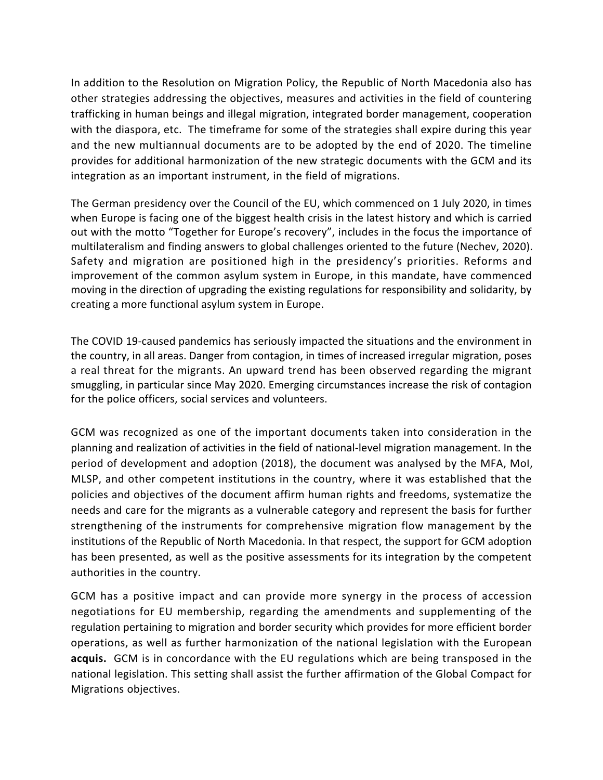In addition to the Resolution on Migration Policy, the Republic of North Macedonia also has other strategies addressing the objectives, measures and activities in the field of countering trafficking in human beings and illegal migration, integrated border management, cooperation with the diaspora, etc. The timeframe for some of the strategies shall expire during this year and the new multiannual documents are to be adopted by the end of 2020. The timeline provides for additional harmonization of the new strategic documents with the GCM and its integration as an important instrument, in the field of migrations.

The German presidency over the Council of the EU, which commenced on 1 July 2020, in times when Europe is facing one of the biggest health crisis in the latest history and which is carried out with the motto "Together for Europe's recovery", includes in the focus the importance of multilateralism and finding answers to global challenges oriented to the future (Nechev, 2020). Safety and migration are positioned high in the presidency's priorities. Reforms and improvement of the common asylum system in Europe, in this mandate, have commenced moving in the direction of upgrading the existing regulations for responsibility and solidarity, by creating a more functional asylum system in Europe.

The COVID 19-caused pandemics has seriously impacted the situations and the environment in the country, in all areas. Danger from contagion, in times of increased irregular migration, poses a real threat for the migrants. An upward trend has been observed regarding the migrant smuggling, in particular since May 2020. Emerging circumstances increase the risk of contagion for the police officers, social services and volunteers.

GCM was recognized as one of the important documents taken into consideration in the planning and realization of activities in the field of national-level migration management. In the period of development and adoption (2018), the document was analysed by the MFA, MoI, MLSP, and other competent institutions in the country, where it was established that the policies and objectives of the document affirm human rights and freedoms, systematize the needs and care for the migrants as a vulnerable category and represent the basis for further strengthening of the instruments for comprehensive migration flow management by the institutions of the Republic of North Macedonia. In that respect, the support for GCM adoption has been presented, as well as the positive assessments for its integration by the competent authorities in the country.

GCM has a positive impact and can provide more synergy in the process of accession negotiations for EU membership, regarding the amendments and supplementing of the regulation pertaining to migration and border security which provides for more efficient border operations, as well as further harmonization of the national legislation with the European **acquis.** GCM is in concordance with the EU regulations which are being transposed in the national legislation. This setting shall assist the further affirmation of the Global Compact for Migrations objectives.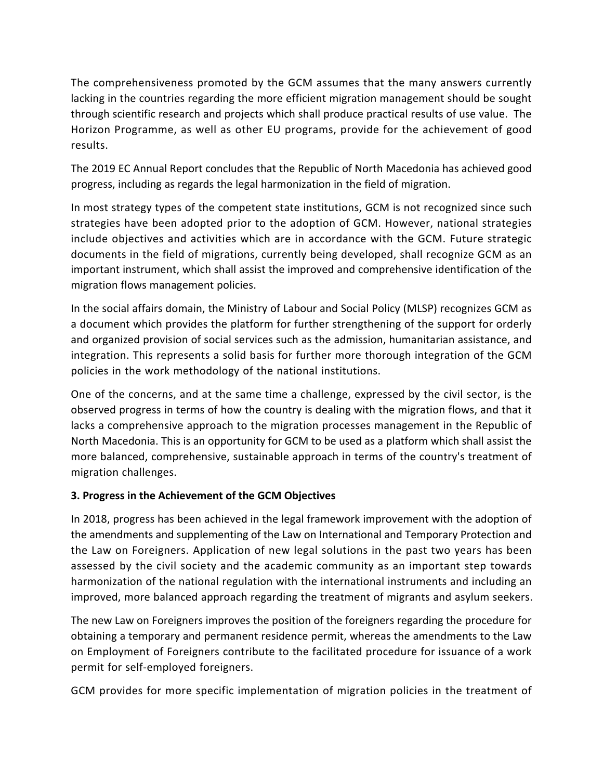The comprehensiveness promoted by the GCM assumes that the many answers currently lacking in the countries regarding the more efficient migration management should be sought through scientific research and projects which shall produce practical results of use value. The Horizon Programme, as well as other EU programs, provide for the achievement of good results.

The 2019 EC Annual Report concludes that the Republic of North Macedonia has achieved good progress, including as regards the legal harmonization in the field of migration.

In most strategy types of the competent state institutions, GCM is not recognized since such strategies have been adopted prior to the adoption of GCM. However, national strategies include objectives and activities which are in accordance with the GCM. Future strategic documents in the field of migrations, currently being developed, shall recognize GCM as an important instrument, which shall assist the improved and comprehensive identification of the migration flows management policies.

In the social affairs domain, the Ministry of Labour and Social Policy (MLSP) recognizes GCM as a document which provides the platform for further strengthening of the support for orderly and organized provision of social services such as the admission, humanitarian assistance, and integration. This represents a solid basis for further more thorough integration of the GCM policies in the work methodology of the national institutions.

One of the concerns, and at the same time a challenge, expressed by the civil sector, is the observed progress in terms of how the country is dealing with the migration flows, and that it lacks a comprehensive approach to the migration processes management in the Republic of North Macedonia. This is an opportunity for GCM to be used as a platform which shall assist the more balanced, comprehensive, sustainable approach in terms of the country's treatment of migration challenges.

### **3. Progress in the Achievement of the GCM Objectives**

In 2018, progress has been achieved in the legal framework improvement with the adoption of the amendments and supplementing of the Law on International and Temporary Protection and the Law on Foreigners. Application of new legal solutions in the past two years has been assessed by the civil society and the academic community as an important step towards harmonization of the national regulation with the international instruments and including an improved, more balanced approach regarding the treatment of migrants and asylum seekers.

The new Law on Foreigners improves the position of the foreigners regarding the procedure for obtaining a temporary and permanent residence permit, whereas the amendments to the Law on Employment of Foreigners contribute to the facilitated procedure for issuance of a work permit for self-employed foreigners.

GCM provides for more specific implementation of migration policies in the treatment of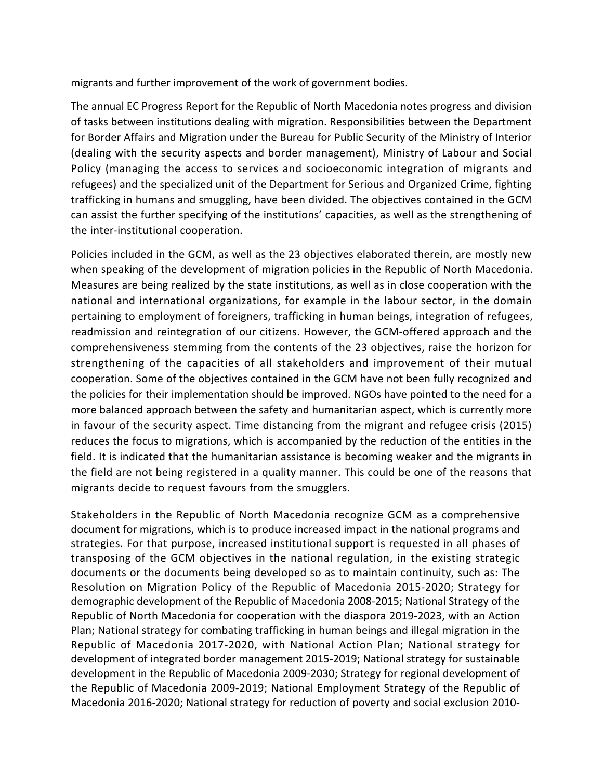migrants and further improvement of the work of government bodies.

The annual EC Progress Report for the Republic of North Macedonia notes progress and division of tasks between institutions dealing with migration. Responsibilities between the Department for Border Affairs and Migration under the Bureau for Public Security of the Ministry of Interior (dealing with the security aspects and border management), Ministry of Labour and Social Policy (managing the access to services and socioeconomic integration of migrants and refugees) and the specialized unit of the Department for Serious and Organized Crime, fighting trafficking in humans and smuggling, have been divided. The objectives contained in the GCM can assist the further specifying of the institutions' capacities, as well as the strengthening of the inter-institutional cooperation.

Policies included in the GCM, as well as the 23 objectives elaborated therein, are mostly new when speaking of the development of migration policies in the Republic of North Macedonia. Measures are being realized by the state institutions, as well as in close cooperation with the national and international organizations, for example in the labour sector, in the domain pertaining to employment of foreigners, trafficking in human beings, integration of refugees, readmission and reintegration of our citizens. However, the GCM-offered approach and the comprehensiveness stemming from the contents of the 23 objectives, raise the horizon for strengthening of the capacities of all stakeholders and improvement of their mutual cooperation. Some of the objectives contained in the GCM have not been fully recognized and the policies for their implementation should be improved. NGOs have pointed to the need for a more balanced approach between the safety and humanitarian aspect, which is currently more in favour of the security aspect. Time distancing from the migrant and refugee crisis (2015) reduces the focus to migrations, which is accompanied by the reduction of the entities in the field. It is indicated that the humanitarian assistance is becoming weaker and the migrants in the field are not being registered in a quality manner. This could be one of the reasons that migrants decide to request favours from the smugglers.

Stakeholders in the Republic of North Macedonia recognize GCM as a comprehensive document for migrations, which is to produce increased impact in the national programs and strategies. For that purpose, increased institutional support is requested in all phases of transposing of the GCM objectives in the national regulation, in the existing strategic documents or the documents being developed so as to maintain continuity, such as: The Resolution on Migration Policy of the Republic of Macedonia 2015-2020; Strategy for demographic development of the Republic of Macedonia 2008-2015; National Strategy of the Republic of North Macedonia for cooperation with the diaspora 2019-2023, with an Action Plan; National strategy for combating trafficking in human beings and illegal migration in the Republic of Macedonia 2017-2020, with National Action Plan; National strategy for development of integrated border management 2015-2019; National strategy for sustainable development in the Republic of Macedonia 2009-2030; Strategy for regional development of the Republic of Macedonia 2009-2019; National Employment Strategy of the Republic of Macedonia 2016-2020; National strategy for reduction of poverty and social exclusion 2010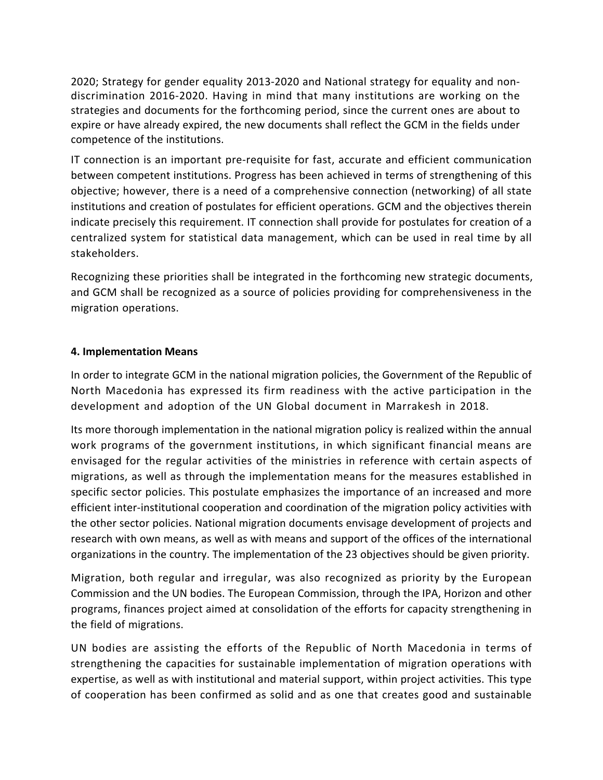2020; Strategy for gender equality 2013-2020 and National strategy for equality and nondiscrimination 2016-2020. Having in mind that many institutions are working on the strategies and documents for the forthcoming period, since the current ones are about to expire or have already expired, the new documents shall reflect the GCM in the fields under competence of the institutions.

IT connection is an important pre-requisite for fast, accurate and efficient communication between competent institutions. Progress has been achieved in terms of strengthening of this objective; however, there is a need of a comprehensive connection (networking) of all state institutions and creation of postulates for efficient operations. GCM and the objectives therein indicate precisely this requirement. IT connection shall provide for postulates for creation of a centralized system for statistical data management, which can be used in real time by all stakeholders.

Recognizing these priorities shall be integrated in the forthcoming new strategic documents, and GCM shall be recognized as a source of policies providing for comprehensiveness in the migration operations.

#### **4. Implementation Means**

In order to integrate GCM in the national migration policies, the Government of the Republic of North Macedonia has expressed its firm readiness with the active participation in the development and adoption of the UN Global document in Marrakesh in 2018.

Its more thorough implementation in the national migration policy is realized within the annual work programs of the government institutions, in which significant financial means are envisaged for the regular activities of the ministries in reference with certain aspects of migrations, as well as through the implementation means for the measures established in specific sector policies. This postulate emphasizes the importance of an increased and more efficient inter-institutional cooperation and coordination of the migration policy activities with the other sector policies. National migration documents envisage development of projects and research with own means, as well as with means and support of the offices of the international organizations in the country. The implementation of the 23 objectives should be given priority.

Migration, both regular and irregular, was also recognized as priority by the European Commission and the UN bodies. The European Commission, through the IPA, Horizon and other programs, finances project aimed at consolidation of the efforts for capacity strengthening in the field of migrations.

UN bodies are assisting the efforts of the Republic of North Macedonia in terms of strengthening the capacities for sustainable implementation of migration operations with expertise, as well as with institutional and material support, within project activities. This type of cooperation has been confirmed as solid and as one that creates good and sustainable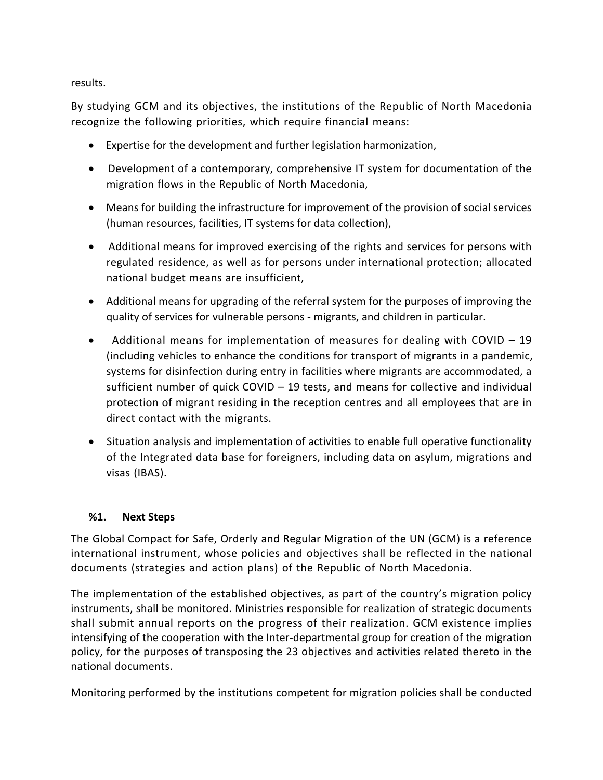results.

By studying GCM and its objectives, the institutions of the Republic of North Macedonia recognize the following priorities, which require financial means:

- · Expertise for the development and further legislation harmonization,
- · Development of a contemporary, comprehensive IT system for documentation of the migration flows in the Republic of North Macedonia,
- · Means for building the infrastructure for improvement of the provision of social services (human resources, facilities, IT systems for data collection),
- · Additional means for improved exercising of the rights and services for persons with regulated residence, as well as for persons under international protection; allocated national budget means are insufficient,
- · Additional means for upgrading of the referral system for the purposes of improving the quality of services for vulnerable persons - migrants, and children in particular.
- · Additional means for implementation of measures for dealing with COVID 19 (including vehicles to enhance the conditions for transport of migrants in a pandemic, systems for disinfection during entry in facilities where migrants are accommodated, a sufficient number of quick COVID – 19 tests, and means for collective and individual protection of migrant residing in the reception centres and all employees that are in direct contact with the migrants.
- · Situation analysis and implementation of activities to enable full operative functionality of the Integrated data base for foreigners, including data on asylum, migrations and visas (IBAS).

### **%1. Next Steps**

The Global Compact for Safe, Orderly and Regular Migration of the UN (GCM) is a reference international instrument, whose policies and objectives shall be reflected in the national documents (strategies and action plans) of the Republic of North Macedonia.

The implementation of the established objectives, as part of the country's migration policy instruments, shall be monitored. Ministries responsible for realization of strategic documents shall submit annual reports on the progress of their realization. GCM existence implies intensifying of the cooperation with the Inter-departmental group for creation of the migration policy, for the purposes of transposing the 23 objectives and activities related thereto in the national documents.

Monitoring performed by the institutions competent for migration policies shall be conducted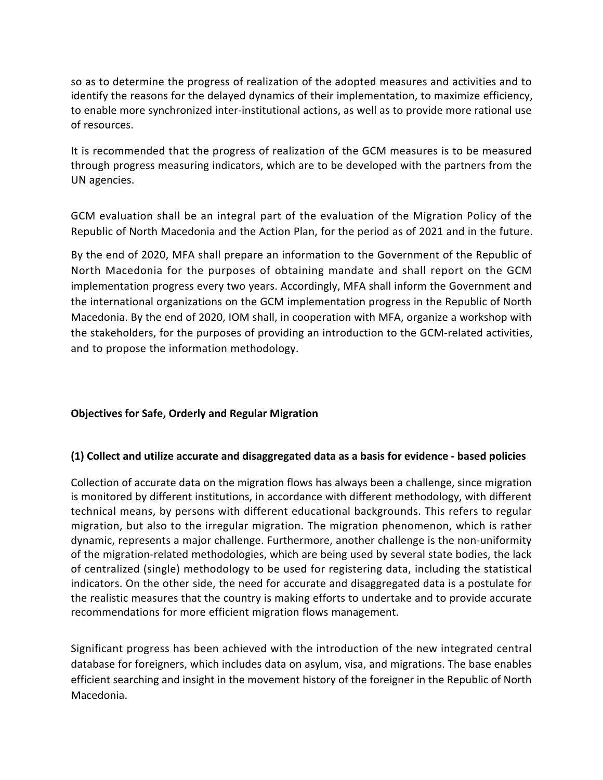so as to determine the progress of realization of the adopted measures and activities and to identify the reasons for the delayed dynamics of their implementation, to maximize efficiency, to enable more synchronized inter-institutional actions, as well as to provide more rational use of resources.

It is recommended that the progress of realization of the GCM measures is to be measured through progress measuring indicators, which are to be developed with the partners from the UN agencies.

GCM evaluation shall be an integral part of the evaluation of the Migration Policy of the Republic of North Macedonia and the Action Plan, for the period as of 2021 and in the future.

By the end of 2020, MFA shall prepare an information to the Government of the Republic of North Macedonia for the purposes of obtaining mandate and shall report on the GCM implementation progress every two years. Accordingly, MFA shall inform the Government and the international organizations on the GCM implementation progress in the Republic of North Macedonia. By the end of 2020, IOM shall, in cooperation with MFA, organize a workshop with the stakeholders, for the purposes of providing an introduction to the GCM-related activities, and to propose the information methodology.

### **Objectives for Safe, Orderly and Regular Migration**

#### **(1) Collect and utilize accurate and disaggregated data as a basis for evidence - based policies**

Collection of accurate data on the migration flows has always been a challenge, since migration is monitored by different institutions, in accordance with different methodology, with different technical means, by persons with different educational backgrounds. This refers to regular migration, but also to the irregular migration. The migration phenomenon, which is rather dynamic, represents a major challenge. Furthermore, another challenge is the non-uniformity of the migration-related methodologies, which are being used by several state bodies, the lack of centralized (single) methodology to be used for registering data, including the statistical indicators. On the other side, the need for accurate and disaggregated data is a postulate for the realistic measures that the country is making efforts to undertake and to provide accurate recommendations for more efficient migration flows management.

Significant progress has been achieved with the introduction of the new integrated central database for foreigners, which includes data on asylum, visa, and migrations. The base enables efficient searching and insight in the movement history of the foreigner in the Republic of North Macedonia.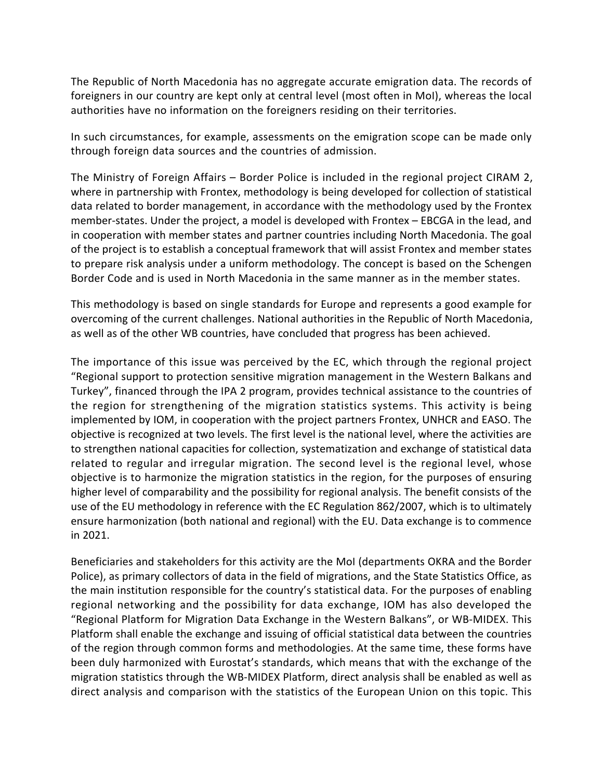The Republic of North Macedonia has no aggregate accurate emigration data. The records of foreigners in our country are kept only at central level (most often in MoI), whereas the local authorities have no information on the foreigners residing on their territories.

In such circumstances, for example, assessments on the emigration scope can be made only through foreign data sources and the countries of admission.

The Ministry of Foreign Affairs – Border Police is included in the regional project CIRAM 2, where in partnership with Frontex, methodology is being developed for collection of statistical data related to border management, in accordance with the methodology used by the Frontex member-states. Under the project, a model is developed with Frontex – EBCGA in the lead, and in cooperation with member states and partner countries including North Macedonia. The goal of the project is to establish a conceptual framework that will assist Frontex and member states to prepare risk analysis under a uniform methodology. The concept is based on the Schengen Border Code and is used in North Macedonia in the same manner as in the member states.

This methodology is based on single standards for Europe and represents a good example for overcoming of the current challenges. National authorities in the Republic of North Macedonia, as well as of the other WB countries, have concluded that progress has been achieved.

The importance of this issue was perceived by the EC, which through the regional project "Regional support to protection sensitive migration management in the Western Balkans and Turkey", financed through the IPA 2 program, provides technical assistance to the countries of the region for strengthening of the migration statistics systems. This activity is being implemented by IOM, in cooperation with the project partners Frontex, UNHCR and EASO. The objective is recognized at two levels. The first level is the national level, where the activities are to strengthen national capacities for collection, systematization and exchange of statistical data related to regular and irregular migration. The second level is the regional level, whose objective is to harmonize the migration statistics in the region, for the purposes of ensuring higher level of comparability and the possibility for regional analysis. The benefit consists of the use of the EU methodology in reference with the EC Regulation 862/2007, which is to ultimately ensure harmonization (both national and regional) with the EU. Data exchange is to commence in 2021.

Beneficiaries and stakeholders for this activity are the MoI (departments OKRA and the Border Police), as primary collectors of data in the field of migrations, and the State Statistics Office, as the main institution responsible for the country's statistical data. For the purposes of enabling regional networking and the possibility for data exchange, IOM has also developed the "Regional Platform for Migration Data Exchange in the Western Balkans", or WB-MIDEX. This Platform shall enable the exchange and issuing of official statistical data between the countries of the region through common forms and methodologies. At the same time, these forms have been duly harmonized with Eurostat's standards, which means that with the exchange of the migration statistics through the WB-MIDEX Platform, direct analysis shall be enabled as well as direct analysis and comparison with the statistics of the European Union on this topic. This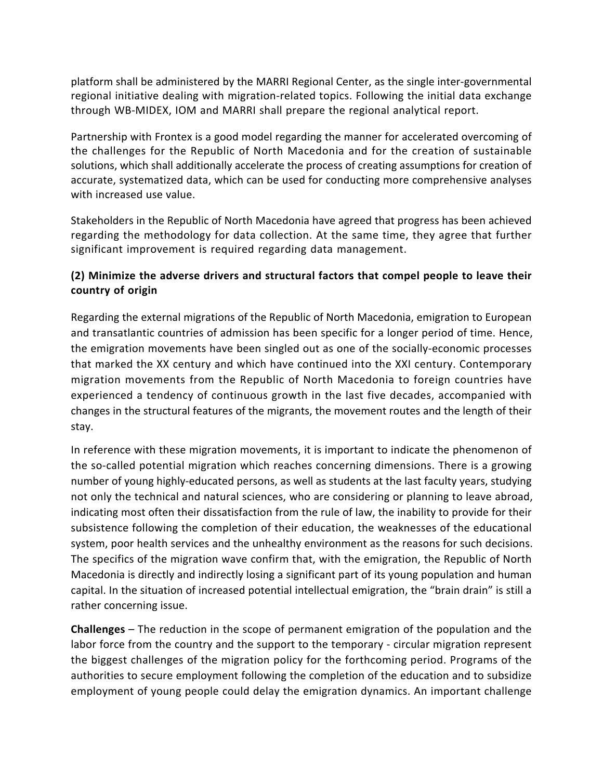platform shall be administered by the MARRI Regional Center, as the single inter-governmental regional initiative dealing with migration-related topics. Following the initial data exchange through WB-MIDEX, IOM and MARRI shall prepare the regional analytical report.

Partnership with Frontex is a good model regarding the manner for accelerated overcoming of the challenges for the Republic of North Macedonia and for the creation of sustainable solutions, which shall additionally accelerate the process of creating assumptions for creation of accurate, systematized data, which can be used for conducting more comprehensive analyses with increased use value.

Stakeholders in the Republic of North Macedonia have agreed that progress has been achieved regarding the methodology for data collection. At the same time, they agree that further significant improvement is required regarding data management.

# **(2) Minimize the adverse drivers and structural factors that compel people to leave their country of origin**

Regarding the external migrations of the Republic of North Macedonia, emigration to European and transatlantic countries of admission has been specific for a longer period of time. Hence, the emigration movements have been singled out as one of the socially-economic processes that marked the XX century and which have continued into the XXI century. Contemporary migration movements from the Republic of North Macedonia to foreign countries have experienced a tendency of continuous growth in the last five decades, accompanied with changes in the structural features of the migrants, the movement routes and the length of their stay.

In reference with these migration movements, it is important to indicate the phenomenon of the so-called potential migration which reaches concerning dimensions. There is a growing number of young highly-educated persons, as well as students at the last faculty years, studying not only the technical and natural sciences, who are considering or planning to leave abroad, indicating most often their dissatisfaction from the rule of law, the inability to provide for their subsistence following the completion of their education, the weaknesses of the educational system, poor health services and the unhealthy environment as the reasons for such decisions. The specifics of the migration wave confirm that, with the emigration, the Republic of North Macedonia is directly and indirectly losing a significant part of its young population and human capital. In the situation of increased potential intellectual emigration, the "brain drain" is still a rather concerning issue.

**Challenges** – The reduction in the scope of permanent emigration of the population and the labor force from the country and the support to the temporary - circular migration represent the biggest challenges of the migration policy for the forthcoming period. Programs of the authorities to secure employment following the completion of the education and to subsidize employment of young people could delay the emigration dynamics. An important challenge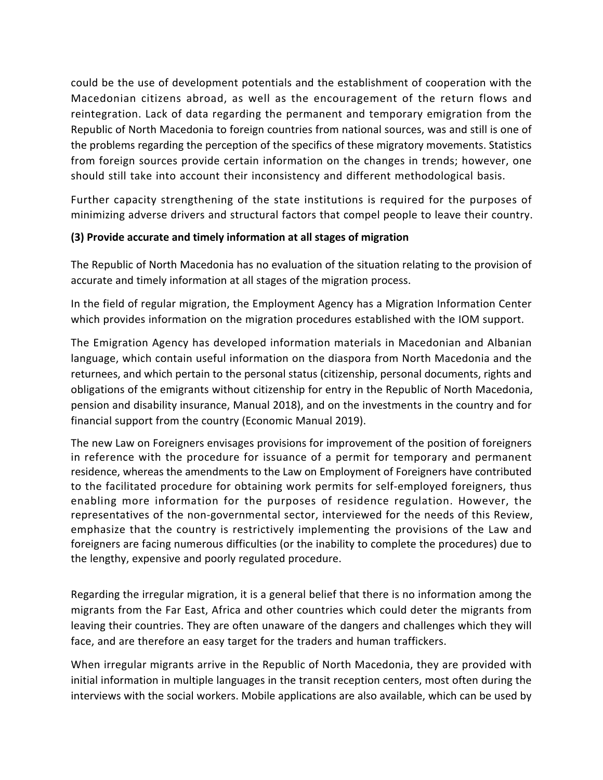could be the use of development potentials and the establishment of cooperation with the Macedonian citizens abroad, as well as the encouragement of the return flows and reintegration. Lack of data regarding the permanent and temporary emigration from the Republic of North Macedonia to foreign countries from national sources, was and still is one of the problems regarding the perception of the specifics of these migratory movements. Statistics from foreign sources provide certain information on the changes in trends; however, one should still take into account their inconsistency and different methodological basis.

Further capacity strengthening of the state institutions is required for the purposes of minimizing adverse drivers and structural factors that compel people to leave their country.

## **(3) Provide accurate and timely information at all stages of migration**

The Republic of North Macedonia has no evaluation of the situation relating to the provision of accurate and timely information at all stages of the migration process.

In the field of regular migration, the Employment Agency has a Migration Information Center which provides information on the migration procedures established with the IOM support.

The Emigration Agency has developed information materials in Macedonian and Albanian language, which contain useful information on the diaspora from North Macedonia and the returnees, and which pertain to the personal status (citizenship, personal documents, rights and obligations of the emigrants without citizenship for entry in the Republic of North Macedonia, pension and disability insurance, Manual 2018), and on the investments in the country and for financial support from the country (Economic Manual 2019).

The new Law on Foreigners envisages provisions for improvement of the position of foreigners in reference with the procedure for issuance of a permit for temporary and permanent residence, whereas the amendments to the Law on Employment of Foreigners have contributed to the facilitated procedure for obtaining work permits for self-employed foreigners, thus enabling more information for the purposes of residence regulation. However, the representatives of the non-governmental sector, interviewed for the needs of this Review, emphasize that the country is restrictively implementing the provisions of the Law and foreigners are facing numerous difficulties (or the inability to complete the procedures) due to the lengthy, expensive and poorly regulated procedure.

Regarding the irregular migration, it is a general belief that there is no information among the migrants from the Far East, Africa and other countries which could deter the migrants from leaving their countries. They are often unaware of the dangers and challenges which they will face, and are therefore an easy target for the traders and human traffickers.

When irregular migrants arrive in the Republic of North Macedonia, they are provided with initial information in multiple languages in the transit reception centers, most often during the interviews with the social workers. Mobile applications are also available, which can be used by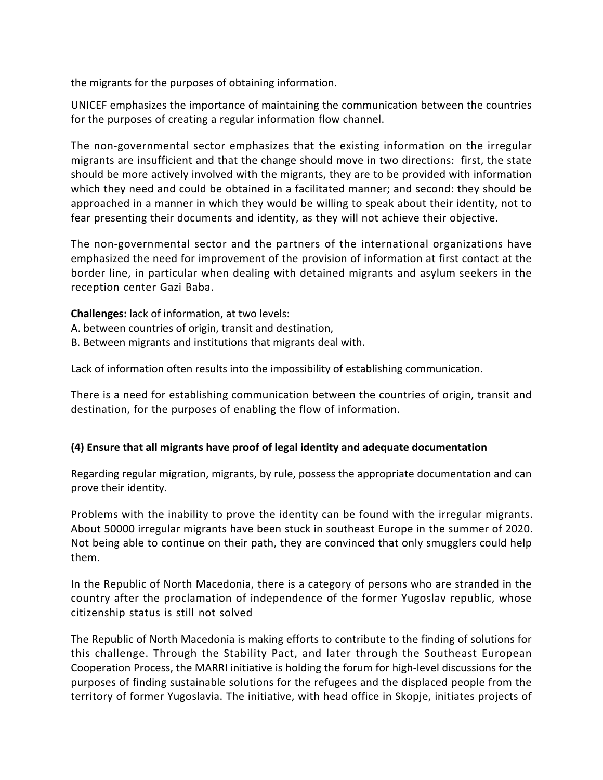the migrants for the purposes of obtaining information.

UNICEF emphasizes the importance of maintaining the communication between the countries for the purposes of creating a regular information flow channel.

The non-governmental sector emphasizes that the existing information on the irregular migrants are insufficient and that the change should move in two directions: first, the state should be more actively involved with the migrants, they are to be provided with information which they need and could be obtained in a facilitated manner; and second: they should be approached in a manner in which they would be willing to speak about their identity, not to fear presenting their documents and identity, as they will not achieve their objective.

The non-governmental sector and the partners of the international organizations have emphasized the need for improvement of the provision of information at first contact at the border line, in particular when dealing with detained migrants and asylum seekers in the reception center Gazi Baba.

**Challenges:** lack of information, at two levels: A. between countries of origin, transit and destination, B. Between migrants and institutions that migrants deal with.

Lack of information often results into the impossibility of establishing communication.

There is a need for establishing communication between the countries of origin, transit and destination, for the purposes of enabling the flow of information.

### **(4) Ensure that all migrants have proof of legal identity and adequate documentation**

Regarding regular migration, migrants, by rule, possess the appropriate documentation and can prove their identity.

Problems with the inability to prove the identity can be found with the irregular migrants. About 50000 irregular migrants have been stuck in southeast Europe in the summer of 2020. Not being able to continue on their path, they are convinced that only smugglers could help them.

In the Republic of North Macedonia, there is a category of persons who are stranded in the country after the proclamation of independence of the former Yugoslav republic, whose citizenship status is still not solved

The Republic of North Macedonia is making efforts to contribute to the finding of solutions for this challenge. Through the Stability Pact, and later through the Southeast European Cooperation Process, the MARRI initiative is holding the forum for high-level discussions for the purposes of finding sustainable solutions for the refugees and the displaced people from the territory of former Yugoslavia. The initiative, with head office in Skopje, initiates projects of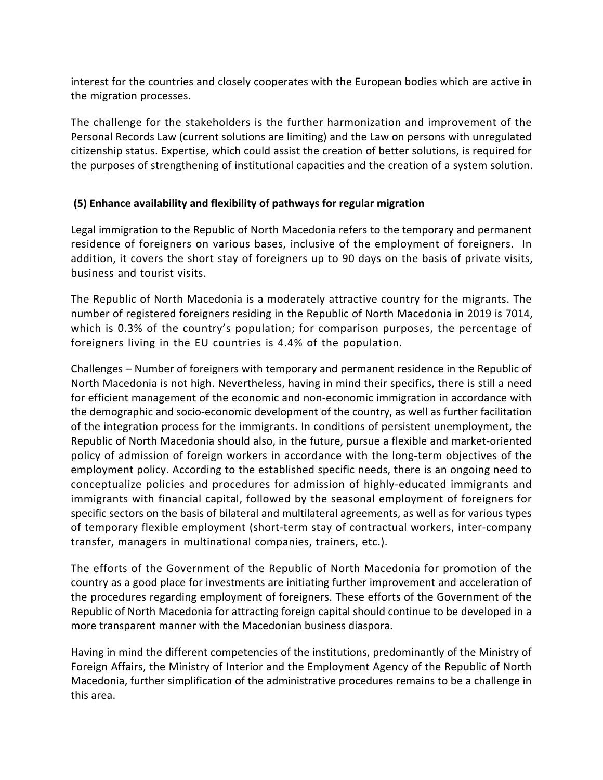interest for the countries and closely cooperates with the European bodies which are active in the migration processes.

The challenge for the stakeholders is the further harmonization and improvement of the Personal Records Law (current solutions are limiting) and the Law on persons with unregulated citizenship status. Expertise, which could assist the creation of better solutions, is required for the purposes of strengthening of institutional capacities and the creation of a system solution.

### **(5) Enhance availability and flexibility of pathways for regular migration**

Legal immigration to the Republic of North Macedonia refers to the temporary and permanent residence of foreigners on various bases, inclusive of the employment of foreigners. In addition, it covers the short stay of foreigners up to 90 days on the basis of private visits, business and tourist visits.

The Republic of North Macedonia is a moderately attractive country for the migrants. The number of registered foreigners residing in the Republic of North Macedonia in 2019 is 7014, which is 0.3% of the country's population; for comparison purposes, the percentage of foreigners living in the EU countries is 4.4% of the population.

Challenges – Number of foreigners with temporary and permanent residence in the Republic of North Macedonia is not high. Nevertheless, having in mind their specifics, there is still a need for efficient management of the economic and non-economic immigration in accordance with the demographic and socio-economic development of the country, as well as further facilitation of the integration process for the immigrants. In conditions of persistent unemployment, the Republic of North Macedonia should also, in the future, pursue a flexible and market-oriented policy of admission of foreign workers in accordance with the long-term objectives of the employment policy. According to the established specific needs, there is an ongoing need to conceptualize policies and procedures for admission of highly-educated immigrants and immigrants with financial capital, followed by the seasonal employment of foreigners for specific sectors on the basis of bilateral and multilateral agreements, as well as for various types of temporary flexible employment (short-term stay of contractual workers, inter-company transfer, managers in multinational companies, trainers, etc.).

The efforts of the Government of the Republic of North Macedonia for promotion of the country as a good place for investments are initiating further improvement and acceleration of the procedures regarding employment of foreigners. These efforts of the Government of the Republic of North Macedonia for attracting foreign capital should continue to be developed in a more transparent manner with the Macedonian business diaspora.

Having in mind the different competencies of the institutions, predominantly of the Ministry of Foreign Affairs, the Ministry of Interior and the Employment Agency of the Republic of North Macedonia, further simplification of the administrative procedures remains to be a challenge in this area.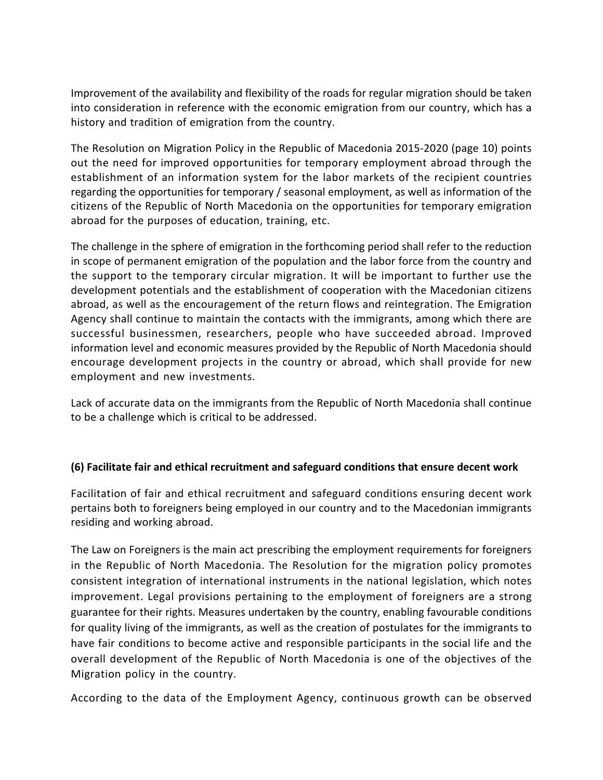Improvement of the availability and flexibility of the roads for regular migration should be taken into consideration in reference with the economic emigration from our country, which has a history and tradition of emigration from the country.

The Resolution on Migration Policy in the Republic of Macedonia 2015-2020 (page 10) points out the need for improved opportunities for temporary employment abroad through the establishment of an information system for the labor markets of the recipient countries regarding the opportunities for temporary / seasonal employment, as well as information of the citizens of the Republic of North Macedonia on the opportunities for temporary emigration abroad for the purposes of education, training, etc.

The challenge in the sphere of emigration in the forthcoming period shall refer to the reduction in scope of permanent emigration of the population and the labor force from the country and the support to the temporary circular migration. It will be important to further use the development potentials and the establishment of cooperation with the Macedonian citizens abroad, as well as the encouragement of the return flows and reintegration. The Emigration Agency shall continue to maintain the contacts with the immigrants, among which there are successful businessmen, researchers, people who have succeeded abroad. Improved information level and economic measures provided by the Republic of North Macedonia should encourage development projects in the country or abroad, which shall provide for new employment and new investments.

Lack of accurate data on the immigrants from the Republic of North Macedonia shall continue to be a challenge which is critical to be addressed.

### **(6) Facilitate fair and ethical recruitment and safeguard conditions that ensure decent work**

Facilitation of fair and ethical recruitment and safeguard conditions ensuring decent work pertains both to foreigners being employed in our country and to the Macedonian immigrants residing and working abroad.

The Law on Foreigners is the main act prescribing the employment requirements for foreigners in the Republic of North Macedonia. The Resolution for the migration policy promotes consistent integration of international instruments in the national legislation, which notes improvement. Legal provisions pertaining to the employment of foreigners are a strong guarantee for their rights. Measures undertaken by the country, enabling favourable conditions for quality living of the immigrants, as well as the creation of postulates for the immigrants to have fair conditions to become active and responsible participants in the social life and the overall development of the Republic of North Macedonia is one of the objectives of the Migration policy in the country.

According to the data of the Employment Agency, continuous growth can be observed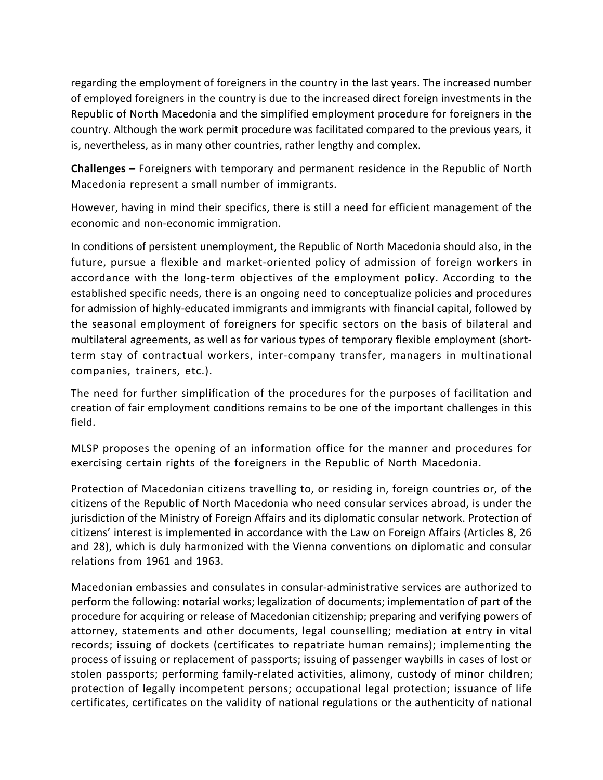regarding the employment of foreigners in the country in the last years. The increased number of employed foreigners in the country is due to the increased direct foreign investments in the Republic of North Macedonia and the simplified employment procedure for foreigners in the country. Although the work permit procedure was facilitated compared to the previous years, it is, nevertheless, as in many other countries, rather lengthy and complex.

**Challenges** – Foreigners with temporary and permanent residence in the Republic of North Macedonia represent a small number of immigrants.

However, having in mind their specifics, there is still a need for efficient management of the economic and non-economic immigration.

In conditions of persistent unemployment, the Republic of North Macedonia should also, in the future, pursue a flexible and market-oriented policy of admission of foreign workers in accordance with the long-term objectives of the employment policy. According to the established specific needs, there is an ongoing need to conceptualize policies and procedures for admission of highly-educated immigrants and immigrants with financial capital, followed by the seasonal employment of foreigners for specific sectors on the basis of bilateral and multilateral agreements, as well as for various types of temporary flexible employment (shortterm stay of contractual workers, inter-company transfer, managers in multinational companies, trainers, etc.).

The need for further simplification of the procedures for the purposes of facilitation and creation of fair employment conditions remains to be one of the important challenges in this field.

MLSP proposes the opening of an information office for the manner and procedures for exercising certain rights of the foreigners in the Republic of North Macedonia.

Protection of Macedonian citizens travelling to, or residing in, foreign countries or, of the citizens of the Republic of North Macedonia who need consular services abroad, is under the jurisdiction of the Ministry of Foreign Affairs and its diplomatic consular network. Protection of citizens' interest is implemented in accordance with the Law on Foreign Affairs (Articles 8, 26 and 28), which is duly harmonized with the Vienna conventions on diplomatic and consular relations from 1961 and 1963.

Macedonian embassies and consulates in consular-administrative services are authorized to perform the following: notarial works; legalization of documents; implementation of part of the procedure for acquiring or release of Macedonian citizenship; preparing and verifying powers of attorney, statements and other documents, legal counselling; mediation at entry in vital records; issuing of dockets (certificates to repatriate human remains); implementing the process of issuing or replacement of passports; issuing of passenger waybills in cases of lost or stolen passports; performing family-related activities, alimony, custody of minor children; protection of legally incompetent persons; occupational legal protection; issuance of life certificates, certificates on the validity of national regulations or the authenticity of national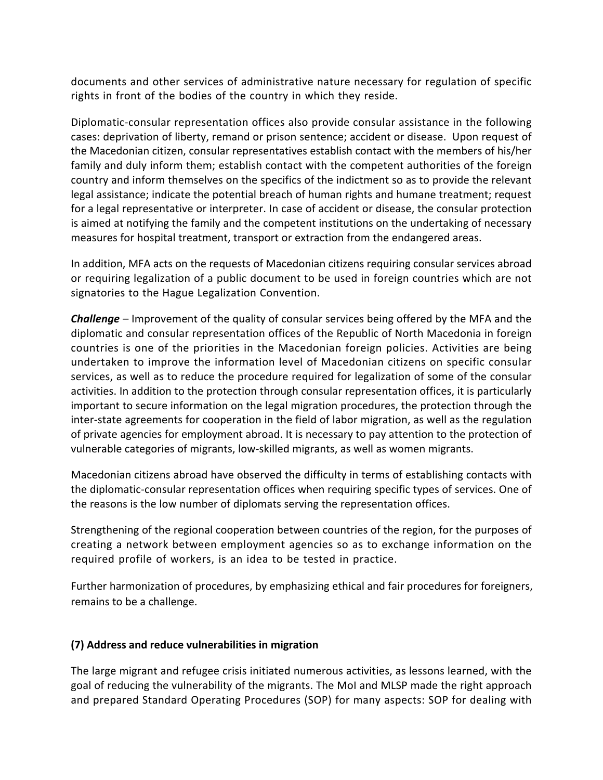documents and other services of administrative nature necessary for regulation of specific rights in front of the bodies of the country in which they reside.

Diplomatic-consular representation offices also provide consular assistance in the following cases: deprivation of liberty, remand or prison sentence; accident or disease. Upon request of the Macedonian citizen, consular representatives establish contact with the members of his/her family and duly inform them; establish contact with the competent authorities of the foreign country and inform themselves on the specifics of the indictment so as to provide the relevant legal assistance; indicate the potential breach of human rights and humane treatment; request for a legal representative or interpreter. In case of accident or disease, the consular protection is aimed at notifying the family and the competent institutions on the undertaking of necessary measures for hospital treatment, transport or extraction from the endangered areas.

In addition, MFA acts on the requests of Macedonian citizens requiring consular services abroad or requiring legalization of a public document to be used in foreign countries which are not signatories to the Hague Legalization Convention.

*Challenge –* Improvement of the quality of consular services being offered by the MFA and the diplomatic and consular representation offices of the Republic of North Macedonia in foreign countries is one of the priorities in the Macedonian foreign policies. Activities are being undertaken to improve the information level of Macedonian citizens on specific consular services, as well as to reduce the procedure required for legalization of some of the consular activities. In addition to the protection through consular representation offices, it is particularly important to secure information on the legal migration procedures, the protection through the inter-state agreements for cooperation in the field of labor migration, as well as the regulation of private agencies for employment abroad. It is necessary to pay attention to the protection of vulnerable categories of migrants, low-skilled migrants, as well as women migrants.

Macedonian citizens abroad have observed the difficulty in terms of establishing contacts with the diplomatic-consular representation offices when requiring specific types of services. One of the reasons is the low number of diplomats serving the representation offices.

Strengthening of the regional cooperation between countries of the region, for the purposes of creating a network between employment agencies so as to exchange information on the required profile of workers, is an idea to be tested in practice.

Further harmonization of procedures, by emphasizing ethical and fair procedures for foreigners, remains to be a challenge.

### **(7) Address and reduce vulnerabilities in migration**

The large migrant and refugee crisis initiated numerous activities, as lessons learned, with the goal of reducing the vulnerability of the migrants. The MoI and MLSP made the right approach and prepared Standard Operating Procedures (SOP) for many aspects: SOP for dealing with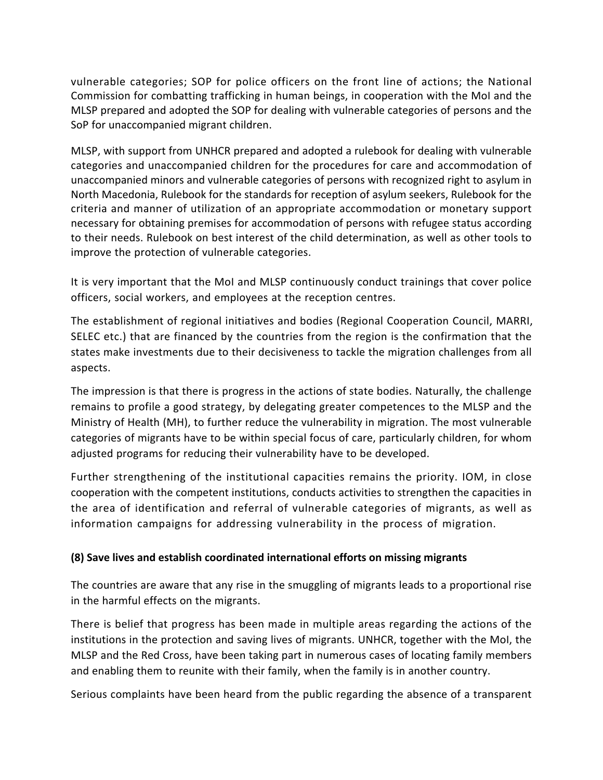vulnerable categories; SOP for police officers on the front line of actions; the National Commission for combatting trafficking in human beings, in cooperation with the MoI and the MLSP prepared and adopted the SOP for dealing with vulnerable categories of persons and the SoP for unaccompanied migrant children.

MLSP, with support from UNHCR prepared and adopted a rulebook for dealing with vulnerable categories and unaccompanied children for the procedures for care and accommodation of unaccompanied minors and vulnerable categories of persons with recognized right to asylum in North Macedonia, Rulebook for the standards for reception of asylum seekers, Rulebook for the criteria and manner of utilization of an appropriate accommodation or monetary support necessary for obtaining premises for accommodation of persons with refugee status according to their needs. Rulebook on best interest of the child determination, as well as other tools to improve the protection of vulnerable categories.

It is very important that the MoI and MLSP continuously conduct trainings that cover police officers, social workers, and employees at the reception centres.

The establishment of regional initiatives and bodies (Regional Cooperation Council, MARRI, SELEC etc.) that are financed by the countries from the region is the confirmation that the states make investments due to their decisiveness to tackle the migration challenges from all aspects.

The impression is that there is progress in the actions of state bodies. Naturally, the challenge remains to profile a good strategy, by delegating greater competences to the MLSP and the Ministry of Health (MH), to further reduce the vulnerability in migration. The most vulnerable categories of migrants have to be within special focus of care, particularly children, for whom adjusted programs for reducing their vulnerability have to be developed.

Further strengthening of the institutional capacities remains the priority. IOM, in close cooperation with the competent institutions, conducts activities to strengthen the capacities in the area of identification and referral of vulnerable categories of migrants, as well as information campaigns for addressing vulnerability in the process of migration.

### **(8) Save lives and establish coordinated international efforts on missing migrants**

The countries are aware that any rise in the smuggling of migrants leads to a proportional rise in the harmful effects on the migrants.

There is belief that progress has been made in multiple areas regarding the actions of the institutions in the protection and saving lives of migrants. UNHCR, together with the MoI, the MLSP and the Red Cross, have been taking part in numerous cases of locating family members and enabling them to reunite with their family, when the family is in another country.

Serious complaints have been heard from the public regarding the absence of a transparent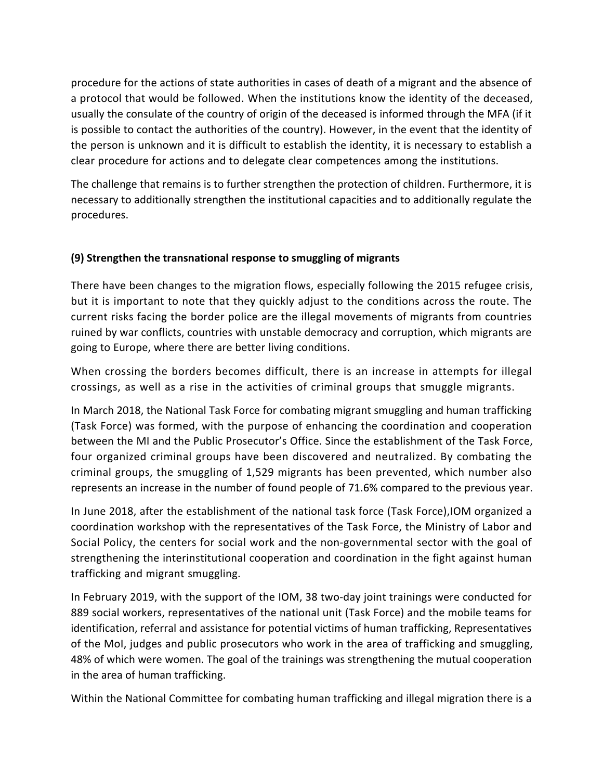procedure for the actions of state authorities in cases of death of a migrant and the absence of a protocol that would be followed. When the institutions know the identity of the deceased, usually the consulate of the country of origin of the deceased is informed through the MFA (if it is possible to contact the authorities of the country). However, in the event that the identity of the person is unknown and it is difficult to establish the identity, it is necessary to establish a clear procedure for actions and to delegate clear competences among the institutions.

The challenge that remains is to further strengthen the protection of children. Furthermore, it is necessary to additionally strengthen the institutional capacities and to additionally regulate the procedures.

## **(9) Strengthen the transnational response to smuggling of migrants**

There have been changes to the migration flows, especially following the 2015 refugee crisis, but it is important to note that they quickly adjust to the conditions across the route. The current risks facing the border police are the illegal movements of migrants from countries ruined by war conflicts, countries with unstable democracy and corruption, which migrants are going to Europe, where there are better living conditions.

When crossing the borders becomes difficult, there is an increase in attempts for illegal crossings, as well as a rise in the activities of criminal groups that smuggle migrants.

In March 2018, the National Task Force for combating migrant smuggling and human trafficking (Task Force) was formed, with the purpose of enhancing the coordination and cooperation between the MI and the Public Prosecutor's Office. Since the establishment of the Task Force, four organized criminal groups have been discovered and neutralized. By combating the criminal groups, the smuggling of 1,529 migrants has been prevented, which number also represents an increase in the number of found people of 71.6% compared to the previous year.

In June 2018, after the establishment of the national task force (Task Force),IOM organized a coordination workshop with the representatives of the Task Force, the Ministry of Labor and Social Policy, the centers for social work and the non-governmental sector with the goal of strengthening the interinstitutional cooperation and coordination in the fight against human trafficking and migrant smuggling.

In February 2019, with the support of the IOM, 38 two-day joint trainings were conducted for 889 social workers, representatives of the national unit (Task Force) and the mobile teams for identification, referral and assistance for potential victims of human trafficking, Representatives of the MoI, judges and public prosecutors who work in the area of trafficking and smuggling, 48% of which were women. The goal of the trainings was strengthening the mutual cooperation in the area of human trafficking.

Within the National Committee for combating human trafficking and illegal migration there is a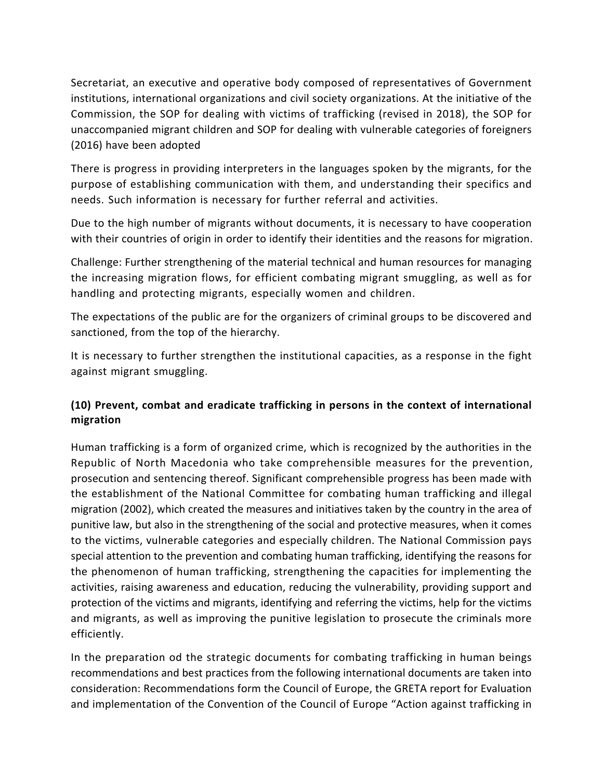Secretariat, an executive and operative body composed of representatives of Government institutions, international organizations and civil society organizations. At the initiative of the Commission, the SOP for dealing with victims of trafficking (revised in 2018), the SOP for unaccompanied migrant children and SOP for dealing with vulnerable categories of foreigners (2016) have been adopted

There is progress in providing interpreters in the languages spoken by the migrants, for the purpose of establishing communication with them, and understanding their specifics and needs. Such information is necessary for further referral and activities.

Due to the high number of migrants without documents, it is necessary to have cooperation with their countries of origin in order to identify their identities and the reasons for migration.

Challenge: Further strengthening of the material technical and human resources for managing the increasing migration flows, for efficient combating migrant smuggling, as well as for handling and protecting migrants, especially women and children.

The expectations of the public are for the organizers of criminal groups to be discovered and sanctioned, from the top of the hierarchy.

It is necessary to further strengthen the institutional capacities, as a response in the fight against migrant smuggling.

## **(10) Prevent, combat and eradicate trafficking in persons in the context of international migration**

Human trafficking is a form of organized crime, which is recognized by the authorities in the Republic of North Macedonia who take comprehensible measures for the prevention, prosecution and sentencing thereof. Significant comprehensible progress has been made with the establishment of the National Committee for combating human trafficking and illegal migration (2002), which created the measures and initiatives taken by the country in the area of punitive law, but also in the strengthening of the social and protective measures, when it comes to the victims, vulnerable categories and especially children. The National Commission pays special attention to the prevention and combating human trafficking, identifying the reasons for the phenomenon of human trafficking, strengthening the capacities for implementing the activities, raising awareness and education, reducing the vulnerability, providing support and protection of the victims and migrants, identifying and referring the victims, help for the victims and migrants, as well as improving the punitive legislation to prosecute the criminals more efficiently.

In the preparation od the strategic documents for combating trafficking in human beings recommendations and best practices from the following international documents are taken into consideration: Recommendations form the Council of Europe, the GRETA report for Evaluation and implementation of the Convention of the Council of Europe "Action against trafficking in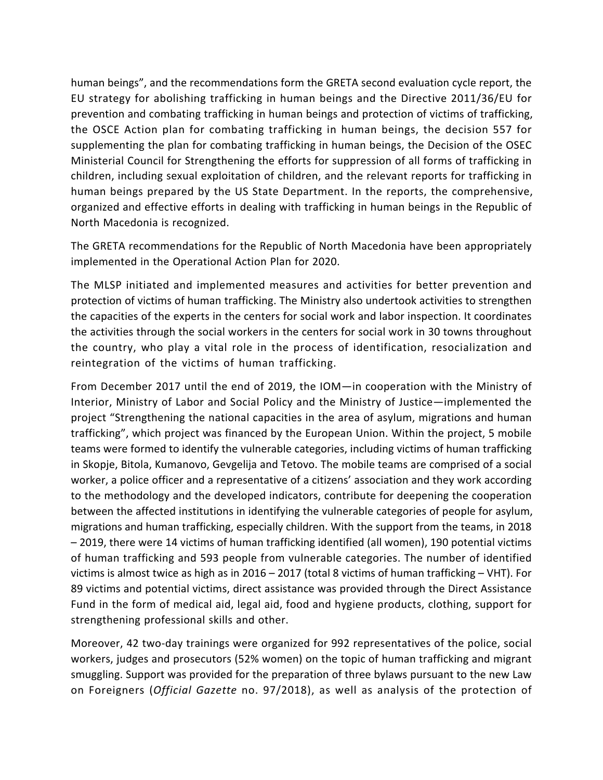human beings", and the recommendations form the GRETA second evaluation cycle report, the EU strategy for abolishing trafficking in human beings and the Directive 2011/36/EU for prevention and combating trafficking in human beings and protection of victims of trafficking, the OSCE Action plan for combating trafficking in human beings, the decision 557 for supplementing the plan for combating trafficking in human beings, the Decision of the OSEC Ministerial Council for Strengthening the efforts for suppression of all forms of trafficking in children, including sexual exploitation of children, and the relevant reports for trafficking in human beings prepared by the US State Department. In the reports, the comprehensive, organized and effective efforts in dealing with trafficking in human beings in the Republic of North Macedonia is recognized.

The GRETA recommendations for the Republic of North Macedonia have been appropriately implemented in the Operational Action Plan for 2020.

The MLSP initiated and implemented measures and activities for better prevention and protection of victims of human trafficking. The Ministry also undertook activities to strengthen the capacities of the experts in the centers for social work and labor inspection. It coordinates the activities through the social workers in the centers for social work in 30 towns throughout the country, who play a vital role in the process of identification, resocialization and reintegration of the victims of human trafficking.

From December 2017 until the end of 2019, the IOM—in cooperation with the Ministry of Interior, Ministry of Labor and Social Policy and the Ministry of Justice—implemented the project "Strengthening the national capacities in the area of asylum, migrations and human trafficking", which project was financed by the European Union. Within the project, 5 mobile teams were formed to identify the vulnerable categories, including victims of human trafficking in Skopje, Bitola, Kumanovo, Gevgelija and Tetovo. The mobile teams are comprised of a social worker, a police officer and a representative of a citizens' association and they work according to the methodology and the developed indicators, contribute for deepening the cooperation between the affected institutions in identifying the vulnerable categories of people for asylum, migrations and human trafficking, especially children. With the support from the teams, in 2018 – 2019, there were 14 victims of human trafficking identified (all women), 190 potential victims of human trafficking and 593 people from vulnerable categories. The number of identified victims is almost twice as high as in 2016 – 2017 (total 8 victims of human trafficking – VHT). For 89 victims and potential victims, direct assistance was provided through the Direct Assistance Fund in the form of medical aid, legal aid, food and hygiene products, clothing, support for strengthening professional skills and other.

Moreover, 42 two-day trainings were organized for 992 representatives of the police, social workers, judges and prosecutors (52% women) on the topic of human trafficking and migrant smuggling. Support was provided for the preparation of three bylaws pursuant to the new Law on Foreigners (*Official Gazette* no. 97/2018), as well as analysis of the protection of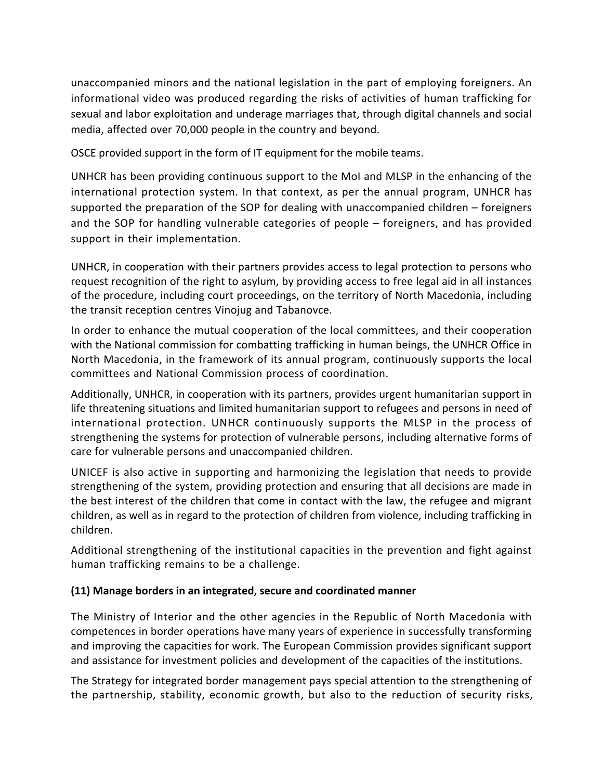unaccompanied minors and the national legislation in the part of employing foreigners. An informational video was produced regarding the risks of activities of human trafficking for sexual and labor exploitation and underage marriages that, through digital channels and social media, affected over 70,000 people in the country and beyond.

OSCE provided support in the form of IT equipment for the mobile teams.

UNHCR has been providing continuous support to the MoI and MLSP in the enhancing of the international protection system. In that context, as per the annual program, UNHCR has supported the preparation of the SOP for dealing with unaccompanied children – foreigners and the SOP for handling vulnerable categories of people – foreigners, and has provided support in their implementation.

UNHCR, in cooperation with their partners provides access to legal protection to persons who request recognition of the right to asylum, by providing access to free legal aid in all instances of the procedure, including court proceedings, on the territory of North Macedonia, including the transit reception centres Vinojug and Tabanovce.

In order to enhance the mutual cooperation of the local committees, and their cooperation with the National commission for combatting trafficking in human beings, the UNHCR Office in North Macedonia, in the framework of its annual program, continuously supports the local committees and National Commission process of coordination.

Additionally, UNHCR, in cooperation with its partners, provides urgent humanitarian support in life threatening situations and limited humanitarian support to refugees and persons in need of international protection. UNHCR continuously supports the MLSP in the process of strengthening the systems for protection of vulnerable persons, including alternative forms of care for vulnerable persons and unaccompanied children.

UNICEF is also active in supporting and harmonizing the legislation that needs to provide strengthening of the system, providing protection and ensuring that all decisions are made in the best interest of the children that come in contact with the law, the refugee and migrant children, as well as in regard to the protection of children from violence, including trafficking in children.

Additional strengthening of the institutional capacities in the prevention and fight against human trafficking remains to be a challenge.

# **(11) Manage borders in an integrated, secure and coordinated manner**

The Ministry of Interior and the other agencies in the Republic of North Macedonia with competences in border operations have many years of experience in successfully transforming and improving the capacities for work. The European Commission provides significant support and assistance for investment policies and development of the capacities of the institutions.

The Strategy for integrated border management pays special attention to the strengthening of the partnership, stability, economic growth, but also to the reduction of security risks,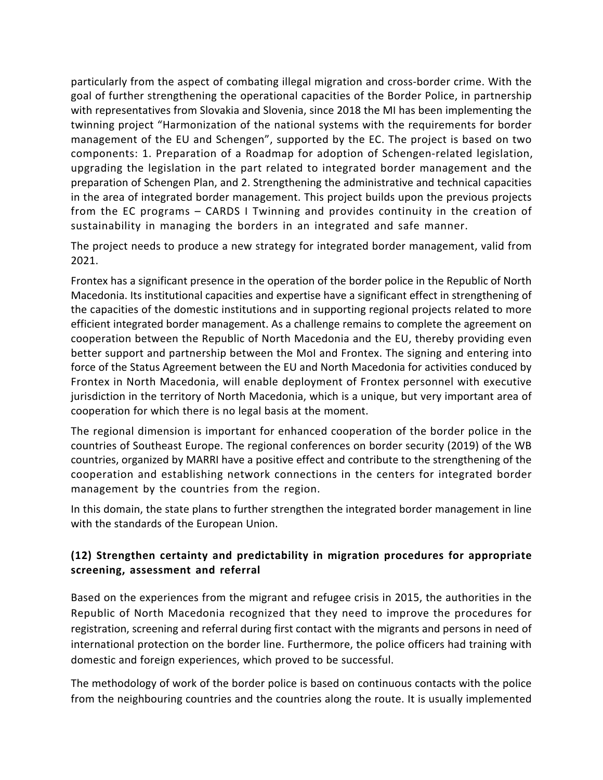particularly from the aspect of combating illegal migration and cross-border crime. With the goal of further strengthening the operational capacities of the Border Police, in partnership with representatives from Slovakia and Slovenia, since 2018 the MI has been implementing the twinning project "Harmonization of the national systems with the requirements for border management of the EU and Schengen", supported by the EC. The project is based on two components: 1. Preparation of a Roadmap for adoption of Schengen-related legislation, upgrading the legislation in the part related to integrated border management and the preparation of Schengen Plan, and 2. Strengthening the administrative and technical capacities in the area of integrated border management. This project builds upon the previous projects from the EC programs – CARDS I Twinning and provides continuity in the creation of sustainability in managing the borders in an integrated and safe manner.

The project needs to produce a new strategy for integrated border management, valid from 2021.

Frontex has a significant presence in the operation of the border police in the Republic of North Macedonia. Its institutional capacities and expertise have a significant effect in strengthening of the capacities of the domestic institutions and in supporting regional projects related to more efficient integrated border management. As a challenge remains to complete the agreement on cooperation between the Republic of North Macedonia and the EU, thereby providing even better support and partnership between the MoI and Frontex. The signing and entering into force of the Status Agreement between the EU and North Macedonia for activities conduced by Frontex in North Macedonia, will enable deployment of Frontex personnel with executive jurisdiction in the territory of North Macedonia, which is a unique, but very important area of cooperation for which there is no legal basis at the moment.

The regional dimension is important for enhanced cooperation of the border police in the countries of Southeast Europe. The regional conferences on border security (2019) of the WB countries, organized by MARRI have a positive effect and contribute to the strengthening of the cooperation and establishing network connections in the centers for integrated border management by the countries from the region.

In this domain, the state plans to further strengthen the integrated border management in line with the standards of the European Union.

# **(12) Strengthen certainty and predictability in migration procedures for appropriate screening, assessment and referral**

Based on the experiences from the migrant and refugee crisis in 2015, the authorities in the Republic of North Macedonia recognized that they need to improve the procedures for registration, screening and referral during first contact with the migrants and persons in need of international protection on the border line. Furthermore, the police officers had training with domestic and foreign experiences, which proved to be successful.

The methodology of work of the border police is based on continuous contacts with the police from the neighbouring countries and the countries along the route. It is usually implemented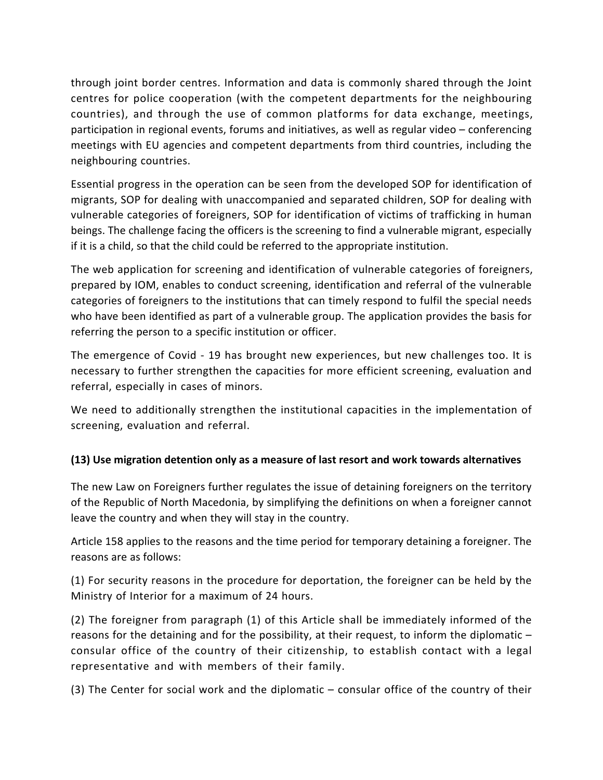through joint border centres. Information and data is commonly shared through the Joint centres for police cooperation (with the competent departments for the neighbouring countries), and through the use of common platforms for data exchange, meetings, participation in regional events, forums and initiatives, as well as regular video – conferencing meetings with EU agencies and competent departments from third countries, including the neighbouring countries.

Essential progress in the operation can be seen from the developed SOP for identification of migrants, SOP for dealing with unaccompanied and separated children, SOP for dealing with vulnerable categories of foreigners, SOP for identification of victims of trafficking in human beings. The challenge facing the officers is the screening to find a vulnerable migrant, especially if it is a child, so that the child could be referred to the appropriate institution.

The web application for screening and identification of vulnerable categories of foreigners, prepared by IOM, enables to conduct screening, identification and referral of the vulnerable categories of foreigners to the institutions that can timely respond to fulfil the special needs who have been identified as part of a vulnerable group. The application provides the basis for referring the person to a specific institution or officer.

The emergence of Covid - 19 has brought new experiences, but new challenges too. It is necessary to further strengthen the capacities for more efficient screening, evaluation and referral, especially in cases of minors.

We need to additionally strengthen the institutional capacities in the implementation of screening, evaluation and referral.

# **(13) Use migration detention only as a measure of last resort and work towards alternatives**

The new Law on Foreigners further regulates the issue of detaining foreigners on the territory of the Republic of North Macedonia, by simplifying the definitions on when a foreigner cannot leave the country and when they will stay in the country.

Article 158 applies to the reasons and the time period for temporary detaining a foreigner. The reasons are as follows:

(1) For security reasons in the procedure for deportation, the foreigner can be held by the Ministry of Interior for a maximum of 24 hours.

(2) The foreigner from paragraph (1) of this Article shall be immediately informed of the reasons for the detaining and for the possibility, at their request, to inform the diplomatic – consular office of the country of their citizenship, to establish contact with a legal representative and with members of their family.

(3) The Center for social work and the diplomatic – consular office of the country of their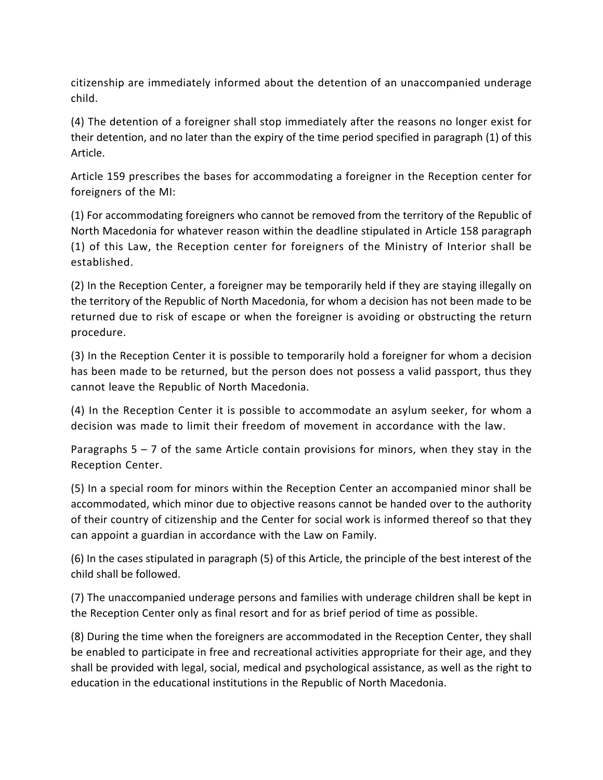citizenship are immediately informed about the detention of an unaccompanied underage child.

(4) The detention of a foreigner shall stop immediately after the reasons no longer exist for their detention, and no later than the expiry of the time period specified in paragraph (1) of this Article.

Article 159 prescribes the bases for accommodating a foreigner in the Reception center for foreigners of the MI:

(1) For accommodating foreigners who cannot be removed from the territory of the Republic of North Macedonia for whatever reason within the deadline stipulated in Article 158 paragraph (1) of this Law, the Reception center for foreigners of the Ministry of Interior shall be established.

(2) In the Reception Center, a foreigner may be temporarily held if they are staying illegally on the territory of the Republic of North Macedonia, for whom a decision has not been made to be returned due to risk of escape or when the foreigner is avoiding or obstructing the return procedure.

(3) In the Reception Center it is possible to temporarily hold a foreigner for whom a decision has been made to be returned, but the person does not possess a valid passport, thus they cannot leave the Republic of North Macedonia.

(4) In the Reception Center it is possible to accommodate an asylum seeker, for whom a decision was made to limit their freedom of movement in accordance with the law.

Paragraphs  $5 - 7$  of the same Article contain provisions for minors, when they stay in the Reception Center.

(5) In a special room for minors within the Reception Center an accompanied minor shall be accommodated, which minor due to objective reasons cannot be handed over to the authority of their country of citizenship and the Center for social work is informed thereof so that they can appoint a guardian in accordance with the Law on Family.

(6) In the cases stipulated in paragraph (5) of this Article, the principle of the best interest of the child shall be followed.

(7) The unaccompanied underage persons and families with underage children shall be kept in the Reception Center only as final resort and for as brief period of time as possible.

(8) During the time when the foreigners are accommodated in the Reception Center, they shall be enabled to participate in free and recreational activities appropriate for their age, and they shall be provided with legal, social, medical and psychological assistance, as well as the right to education in the educational institutions in the Republic of North Macedonia.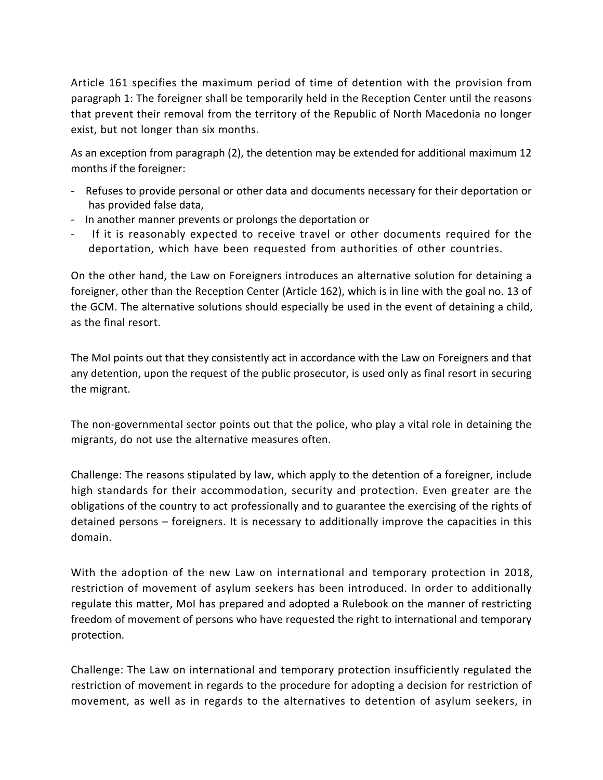Article 161 specifies the maximum period of time of detention with the provision from paragraph 1: The foreigner shall be temporarily held in the Reception Center until the reasons that prevent their removal from the territory of the Republic of North Macedonia no longer exist, but not longer than six months.

As an exception from paragraph (2), the detention may be extended for additional maximum 12 months if the foreigner:

- Refuses to provide personal or other data and documents necessary for their deportation or has provided false data,
- In another manner prevents or prolongs the deportation or
- If it is reasonably expected to receive travel or other documents required for the deportation, which have been requested from authorities of other countries.

On the other hand, the Law on Foreigners introduces an alternative solution for detaining a foreigner, other than the Reception Center (Article 162), which is in line with the goal no. 13 of the GCM. The alternative solutions should especially be used in the event of detaining a child, as the final resort.

The MoI points out that they consistently act in accordance with the Law on Foreigners and that any detention, upon the request of the public prosecutor, is used only as final resort in securing the migrant.

The non-governmental sector points out that the police, who play a vital role in detaining the migrants, do not use the alternative measures often.

Challenge: The reasons stipulated by law, which apply to the detention of a foreigner, include high standards for their accommodation, security and protection. Even greater are the obligations of the country to act professionally and to guarantee the exercising of the rights of detained persons – foreigners. It is necessary to additionally improve the capacities in this domain.

With the adoption of the new Law on international and temporary protection in 2018, restriction of movement of asylum seekers has been introduced. In order to additionally regulate this matter, MoI has prepared and adopted a Rulebook on the manner of restricting freedom of movement of persons who have requested the right to international and temporary protection.

Challenge: The Law on international and temporary protection insufficiently regulated the restriction of movement in regards to the procedure for adopting a decision for restriction of movement, as well as in regards to the alternatives to detention of asylum seekers, in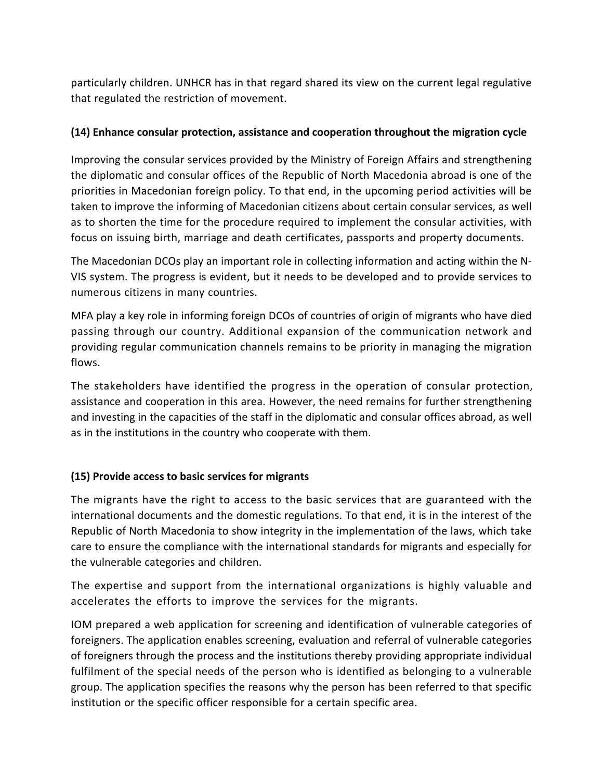particularly children. UNHCR has in that regard shared its view on the current legal regulative that regulated the restriction of movement.

## **(14) Enhance consular protection, assistance and cooperation throughout the migration cycle**

Improving the consular services provided by the Ministry of Foreign Affairs and strengthening the diplomatic and consular offices of the Republic of North Macedonia abroad is one of the priorities in Macedonian foreign policy. To that end, in the upcoming period activities will be taken to improve the informing of Macedonian citizens about certain consular services, as well as to shorten the time for the procedure required to implement the consular activities, with focus on issuing birth, marriage and death certificates, passports and property documents.

The Macedonian DCOs play an important role in collecting information and acting within the N-VIS system. The progress is evident, but it needs to be developed and to provide services to numerous citizens in many countries.

MFA play a key role in informing foreign DCOs of countries of origin of migrants who have died passing through our country. Additional expansion of the communication network and providing regular communication channels remains to be priority in managing the migration flows.

The stakeholders have identified the progress in the operation of consular protection, assistance and cooperation in this area. However, the need remains for further strengthening and investing in the capacities of the staff in the diplomatic and consular offices abroad, as well as in the institutions in the country who cooperate with them.

### **(15) Provide access to basic services for migrants**

The migrants have the right to access to the basic services that are guaranteed with the international documents and the domestic regulations. To that end, it is in the interest of the Republic of North Macedonia to show integrity in the implementation of the laws, which take care to ensure the compliance with the international standards for migrants and especially for the vulnerable categories and children.

The expertise and support from the international organizations is highly valuable and accelerates the efforts to improve the services for the migrants.

IOM prepared a web application for screening and identification of vulnerable categories of foreigners. The application enables screening, evaluation and referral of vulnerable categories of foreigners through the process and the institutions thereby providing appropriate individual fulfilment of the special needs of the person who is identified as belonging to a vulnerable group. The application specifies the reasons why the person has been referred to that specific institution or the specific officer responsible for a certain specific area.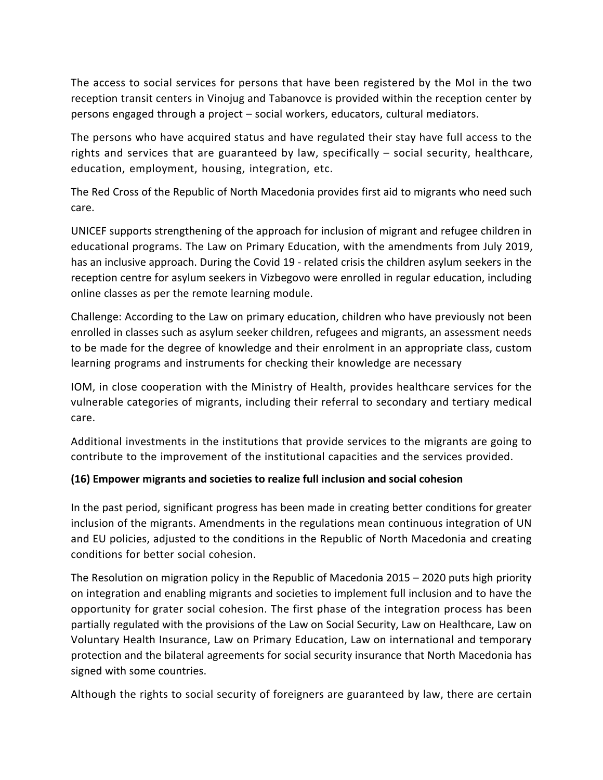The access to social services for persons that have been registered by the MoI in the two reception transit centers in Vinojug and Tabanovce is provided within the reception center by persons engaged through a project – social workers, educators, cultural mediators.

The persons who have acquired status and have regulated their stay have full access to the rights and services that are guaranteed by law, specifically – social security, healthcare, education, employment, housing, integration, etc.

The Red Cross of the Republic of North Macedonia provides first aid to migrants who need such care.

UNICEF supports strengthening of the approach for inclusion of migrant and refugee children in educational programs. The Law on Primary Education, with the amendments from July 2019, has an inclusive approach. During the Covid 19 - related crisis the children asylum seekers in the reception centre for asylum seekers in Vizbegovo were enrolled in regular education, including online classes as per the remote learning module.

Challenge: According to the Law on primary education, children who have previously not been enrolled in classes such as asylum seeker children, refugees and migrants, an assessment needs to be made for the degree of knowledge and their enrolment in an appropriate class, custom learning programs and instruments for checking their knowledge are necessary

IOM, in close cooperation with the Ministry of Health, provides healthcare services for the vulnerable categories of migrants, including their referral to secondary and tertiary medical care.

Additional investments in the institutions that provide services to the migrants are going to contribute to the improvement of the institutional capacities and the services provided.

### **(16) Empower migrants and societies to realize full inclusion and social cohesion**

In the past period, significant progress has been made in creating better conditions for greater inclusion of the migrants. Amendments in the regulations mean continuous integration of UN and EU policies, adjusted to the conditions in the Republic of North Macedonia and creating conditions for better social cohesion.

The Resolution on migration policy in the Republic of Macedonia 2015 – 2020 puts high priority on integration and enabling migrants and societies to implement full inclusion and to have the opportunity for grater social cohesion. The first phase of the integration process has been partially regulated with the provisions of the Law on Social Security, Law on Healthcare, Law on Voluntary Health Insurance, Law on Primary Education, Law on international and temporary protection and the bilateral agreements for social security insurance that North Macedonia has signed with some countries.

Although the rights to social security of foreigners are guaranteed by law, there are certain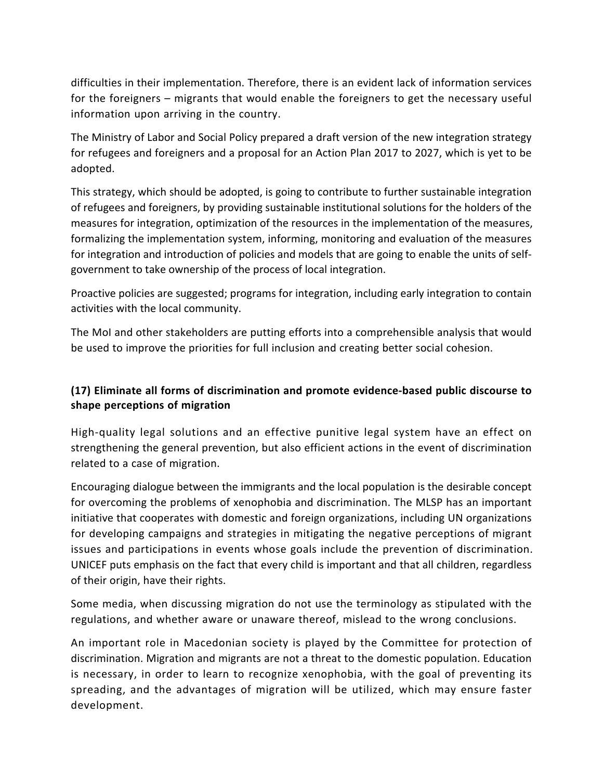difficulties in their implementation. Therefore, there is an evident lack of information services for the foreigners – migrants that would enable the foreigners to get the necessary useful information upon arriving in the country.

The Ministry of Labor and Social Policy prepared a draft version of the new integration strategy for refugees and foreigners and a proposal for an Action Plan 2017 to 2027, which is yet to be adopted.

This strategy, which should be adopted, is going to contribute to further sustainable integration of refugees and foreigners, by providing sustainable institutional solutions for the holders of the measures for integration, optimization of the resources in the implementation of the measures, formalizing the implementation system, informing, monitoring and evaluation of the measures for integration and introduction of policies and models that are going to enable the units of selfgovernment to take ownership of the process of local integration.

Proactive policies are suggested; programs for integration, including early integration to contain activities with the local community.

The MoI and other stakeholders are putting efforts into a comprehensible analysis that would be used to improve the priorities for full inclusion and creating better social cohesion.

# **(17) Eliminate all forms of discrimination and promote evidence-based public discourse to shape perceptions of migration**

High-quality legal solutions and an effective punitive legal system have an effect on strengthening the general prevention, but also efficient actions in the event of discrimination related to a case of migration.

Encouraging dialogue between the immigrants and the local population is the desirable concept for overcoming the problems of xenophobia and discrimination. The MLSP has an important initiative that cooperates with domestic and foreign organizations, including UN organizations for developing campaigns and strategies in mitigating the negative perceptions of migrant issues and participations in events whose goals include the prevention of discrimination. UNICEF puts emphasis on the fact that every child is important and that all children, regardless of their origin, have their rights.

Some media, when discussing migration do not use the terminology as stipulated with the regulations, and whether aware or unaware thereof, mislead to the wrong conclusions.

An important role in Macedonian society is played by the Committee for protection of discrimination. Migration and migrants are not a threat to the domestic population. Education is necessary, in order to learn to recognize xenophobia, with the goal of preventing its spreading, and the advantages of migration will be utilized, which may ensure faster development.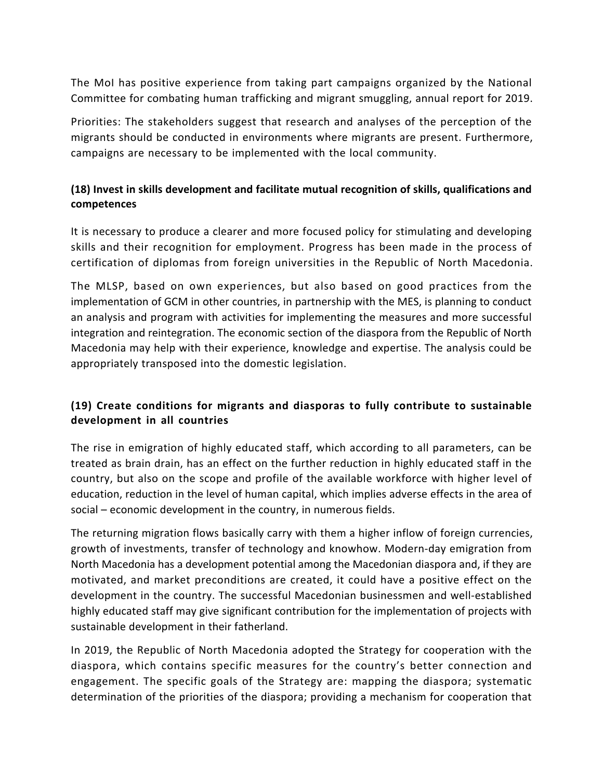The MoI has positive experience from taking part campaigns organized by the National Committee for combating human trafficking and migrant smuggling, annual report for 2019.

Priorities: The stakeholders suggest that research and analyses of the perception of the migrants should be conducted in environments where migrants are present. Furthermore, campaigns are necessary to be implemented with the local community.

# **(18) Invest in skills development and facilitate mutual recognition of skills, qualifications and competences**

It is necessary to produce a clearer and more focused policy for stimulating and developing skills and their recognition for employment. Progress has been made in the process of certification of diplomas from foreign universities in the Republic of North Macedonia.

The MLSP, based on own experiences, but also based on good practices from the implementation of GCM in other countries, in partnership with the MES, is planning to conduct an analysis and program with activities for implementing the measures and more successful integration and reintegration. The economic section of the diaspora from the Republic of North Macedonia may help with their experience, knowledge and expertise. The analysis could be appropriately transposed into the domestic legislation.

# **(19) Create conditions for migrants and diasporas to fully contribute to sustainable development in all countries**

The rise in emigration of highly educated staff, which according to all parameters, can be treated as brain drain, has an effect on the further reduction in highly educated staff in the country, but also on the scope and profile of the available workforce with higher level of education, reduction in the level of human capital, which implies adverse effects in the area of social – economic development in the country, in numerous fields.

The returning migration flows basically carry with them a higher inflow of foreign currencies, growth of investments, transfer of technology and knowhow. Modern-day emigration from North Macedonia has a development potential among the Macedonian diaspora and, if they are motivated, and market preconditions are created, it could have a positive effect on the development in the country. The successful Macedonian businessmen and well-established highly educated staff may give significant contribution for the implementation of projects with sustainable development in their fatherland.

In 2019, the Republic of North Macedonia adopted the Strategy for cooperation with the diaspora, which contains specific measures for the country's better connection and engagement. The specific goals of the Strategy are: mapping the diaspora; systematic determination of the priorities of the diaspora; providing a mechanism for cooperation that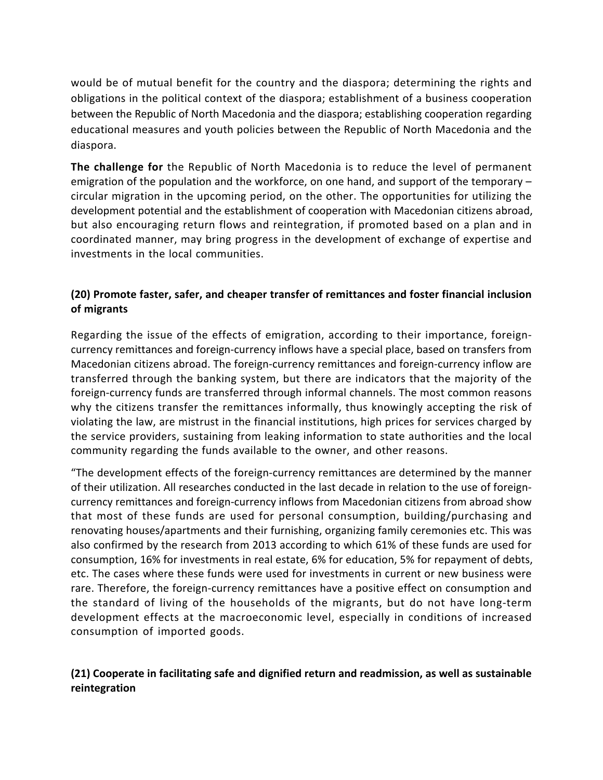would be of mutual benefit for the country and the diaspora; determining the rights and obligations in the political context of the diaspora; establishment of a business cooperation between the Republic of North Macedonia and the diaspora; establishing cooperation regarding educational measures and youth policies between the Republic of North Macedonia and the diaspora.

**The challenge for** the Republic of North Macedonia is to reduce the level of permanent emigration of the population and the workforce, on one hand, and support of the temporary – circular migration in the upcoming period, on the other. The opportunities for utilizing the development potential and the establishment of cooperation with Macedonian citizens abroad, but also encouraging return flows and reintegration, if promoted based on a plan and in coordinated manner, may bring progress in the development of exchange of expertise and investments in the local communities.

### **(20) Promote faster, safer, and cheaper transfer of remittances and foster financial inclusion of migrants**

Regarding the issue of the effects of emigration, according to their importance, foreigncurrency remittances and foreign-currency inflows have a special place, based on transfers from Macedonian citizens abroad. The foreign-currency remittances and foreign-currency inflow are transferred through the banking system, but there are indicators that the majority of the foreign-currency funds are transferred through informal channels. The most common reasons why the citizens transfer the remittances informally, thus knowingly accepting the risk of violating the law, are mistrust in the financial institutions, high prices for services charged by the service providers, sustaining from leaking information to state authorities and the local community regarding the funds available to the owner, and other reasons.

"The development effects of the foreign-currency remittances are determined by the manner of their utilization. All researches conducted in the last decade in relation to the use of foreigncurrency remittances and foreign-currency inflows from Macedonian citizens from abroad show that most of these funds are used for personal consumption, building/purchasing and renovating houses/apartments and their furnishing, organizing family ceremonies etc. This was also confirmed by the research from 2013 according to which 61% of these funds are used for consumption, 16% for investments in real estate, 6% for education, 5% for repayment of debts, etc. The cases where these funds were used for investments in current or new business were rare. Therefore, the foreign-currency remittances have a positive effect on consumption and the standard of living of the households of the migrants, but do not have long-term development effects at the macroeconomic level, especially in conditions of increased consumption of imported goods.

## **(21) Cooperate in facilitating safe and dignified return and readmission, as well as sustainable reintegration**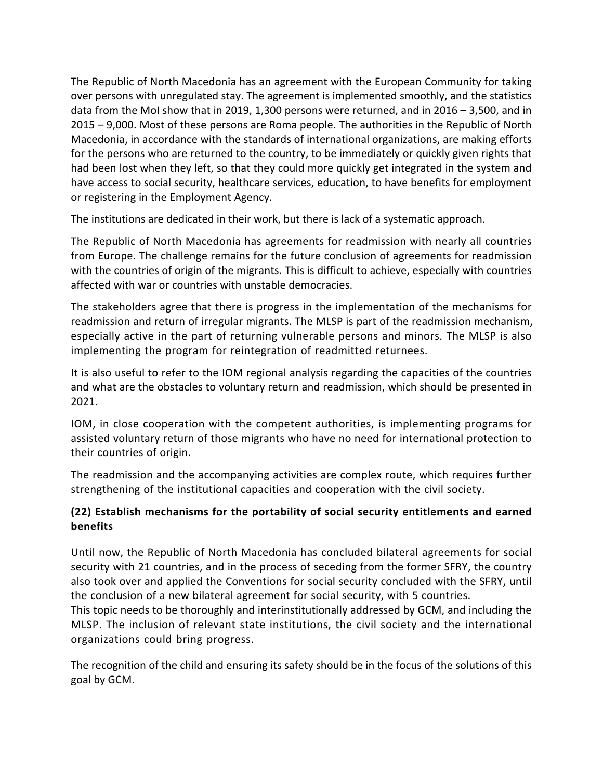The Republic of North Macedonia has an agreement with the European Community for taking over persons with unregulated stay. The agreement is implemented smoothly, and the statistics data from the MoI show that in 2019, 1,300 persons were returned, and in 2016 – 3,500, and in 2015 – 9,000. Most of these persons are Roma people. The authorities in the Republic of North Macedonia, in accordance with the standards of international organizations, are making efforts for the persons who are returned to the country, to be immediately or quickly given rights that had been lost when they left, so that they could more quickly get integrated in the system and have access to social security, healthcare services, education, to have benefits for employment or registering in the Employment Agency.

The institutions are dedicated in their work, but there is lack of a systematic approach.

The Republic of North Macedonia has agreements for readmission with nearly all countries from Europe. The challenge remains for the future conclusion of agreements for readmission with the countries of origin of the migrants. This is difficult to achieve, especially with countries affected with war or countries with unstable democracies.

The stakeholders agree that there is progress in the implementation of the mechanisms for readmission and return of irregular migrants. The MLSP is part of the readmission mechanism, especially active in the part of returning vulnerable persons and minors. The MLSP is also implementing the program for reintegration of readmitted returnees.

It is also useful to refer to the IOM regional analysis regarding the capacities of the countries and what are the obstacles to voluntary return and readmission, which should be presented in 2021.

IOM, in close cooperation with the competent authorities, is implementing programs for assisted voluntary return of those migrants who have no need for international protection to their countries of origin.

The readmission and the accompanying activities are complex route, which requires further strengthening of the institutional capacities and cooperation with the civil society.

# **(22) Establish mechanisms for the portability of social security entitlements and earned benefits**

Until now, the Republic of North Macedonia has concluded bilateral agreements for social security with 21 countries, and in the process of seceding from the former SFRY, the country also took over and applied the Conventions for social security concluded with the SFRY, until the conclusion of a new bilateral agreement for social security, with 5 countries.

This topic needs to be thoroughly and interinstitutionally addressed by GCM, and including the MLSP. The inclusion of relevant state institutions, the civil society and the international organizations could bring progress.

The recognition of the child and ensuring its safety should be in the focus of the solutions of this goal by GCM.